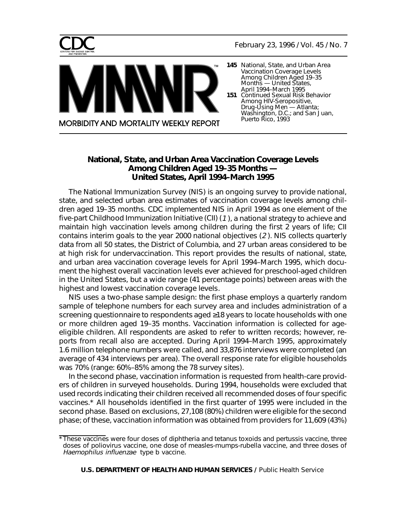<span id="page-0-0"></span>



- **145** [National, State, and Urban Area](#page-0-0) Vaccination Coverage Levels Among Children Aged 19–35 Months — United States, April 1994–March 1995
- **151** Continued Sexual Risk Behavior Among HIV-Seropositive, Drug-Using Men — Atlanta; [Washington, D.C.; and San Juan,](#page-6-0) Puerto Rico, 1993

# **National, State, and Urban Area Vaccination Coverage Levels Among Children Aged 19–35 Months — United States, April 1994–March 1995**

**MORBIDITY AND MORTALITY WEEKLY REPORT** 

тм

The National Immunization Survey (NIS) is an ongoing survey to provide national, state, and selected urban area estimates of vaccination coverage levels among children aged 19–35 months. CDC implemented NIS in April 1994 as one element of the five-part Childhood Immunization Initiative (CII) (1 ), a national strategy to achieve and maintain high vaccination levels among children during the first 2 years of life; CII contains interim goals to the year 2000 national objectives (2 ). NIS collects quarterly data from all 50 states, the District of Columbia, and 27 urban areas considered to be at high risk for undervaccination. This report provides the results of national, state, and urban area vaccination coverage levels for April 1994–March 1995, which document the highest overall vaccination levels ever achieved for preschool-aged children in the United States, but a wide range (41 percentage points) between areas with the highest and lowest vaccination coverage levels.

NIS uses a two-phase sample design: the first phase employs a quarterly random sample of telephone numbers for each survey area and includes administration of a screening questionnaire to respondents aged ≥18 years to locate households with one or more children aged 19–35 months. Vaccination information is collected for ageeligible children. All respondents are asked to refer to written records; however, reports from recall also are accepted. During April 1994–March 1995, approximately 1.6 million telephone numbers were called, and 33,876 interviews were completed (an average of 434 interviews per area). The overall response rate for eligible households was 70% (range: 60%–85% among the 78 survey sites).

In the second phase, vaccination information is requested from health-care providers of children in surveyed households. During 1994, households were excluded that used records indicating their children received all recommended doses of four specific vaccines.\* All households identified in the first quarter of 1995 were included in the second phase. Based on exclusions, 27,108 (80%) children were eligible for the second phase; of these, vaccination information was obtained from providers for 11,609 (43%)

**U.S. DEPARTMENT OF HEALTH AND HUMAN SERVICES /** Public Health Service

<sup>\*</sup>These vaccines were four doses of diphtheria and tetanus toxoids and pertussis vaccine, three doses of poliovirus vaccine, one dose of measles-mumps-rubella vaccine, and three doses of Haemophilus influenzae type b vaccine.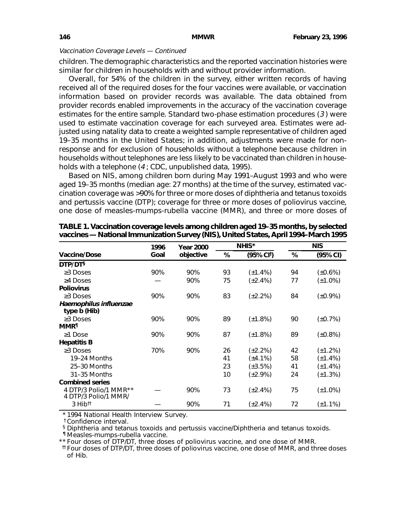children. The demographic characteristics and the reported vaccination histories were similar for children in households with and without provider information.

Overall, for 54% of the children in the survey, either written records of having received all of the required doses for the four vaccines were available, or vaccination information based on provider records was available. The data obtained from provider records enabled improvements in the accuracy of the vaccination coverage estimates for the entire sample. Standard two-phase estimation procedures (3 ) were used to estimate vaccination coverage for each surveyed area. Estimates were adjusted using natality data to create a weighted sample representative of children aged 19–35 months in the United States; in addition, adjustments were made for nonresponse and for exclusion of households without a telephone because children in households without telephones are less likely to be vaccinated than children in households with a telephone (4 ; CDC, unpublished data, 1995).

Based on NIS, among children born during May 1991–August 1993 and who were aged 19–35 months (median age: 27 months) at the time of the survey, estimated vaccination coverage was >90% for three or more doses of diphtheria and tetanus toxoids and pertussis vaccine (DTP); coverage for three or more doses of poliovirus vaccine, one dose of measles-mumps-rubella vaccine (MMR), and three or more doses of

|                                               | 1996 | <b>Year 2000</b> |    | NHIS*         | <b>NIS</b> |               |  |
|-----------------------------------------------|------|------------------|----|---------------|------------|---------------|--|
| <b>Vaccine/Dose</b>                           | Goal | objective        | %  | (95% CI)      | $\%$       | (95% CI)      |  |
| DTP/DT§                                       |      |                  |    |               |            |               |  |
| $\geq$ 3 Doses                                | 90%  | 90%              | 93 | $(\pm 1.4\%)$ | 94         | (±0.6%)       |  |
| $\geq$ 4 Doses                                |      | 90%              | 75 | $(\pm 2.4\%)$ | 77         | (±1.0%)       |  |
| <b>Poliovirus</b>                             |      |                  |    |               |            |               |  |
| $\geq$ 3 Doses                                | 90%  | 90%              | 83 | $(\pm 2.2\%)$ | 84         | $(\pm 0.9\%)$ |  |
| Haemophilus influenzae<br>type b (Hib)        |      |                  |    |               |            |               |  |
| $\geq$ 3 Doses                                | 90%  | 90%              | 89 | $(\pm 1.8\%)$ | 90         | $(\pm 0.7\%)$ |  |
| <b>MMR</b> <sup>1</sup>                       |      |                  |    |               |            |               |  |
| $\geq$ 1 Dose                                 | 90%  | 90%              | 87 | $(\pm 1.8\%)$ | 89         | (±0.8%)       |  |
| <b>Hepatitis B</b>                            |      |                  |    |               |            |               |  |
| $\geq$ 3 Doses                                | 70%  | 90%              | 26 | $(\pm 2.2\%)$ | 42         | $(\pm 1.2\%)$ |  |
| 19-24 Months                                  |      |                  | 41 | $(\pm 4.1\%)$ | 58         | (±1.4%)       |  |
| 25-30 Months                                  |      |                  | 23 | $(\pm 3.5\%)$ | 41         | (±1.4%)       |  |
| 31-35 Months                                  |      |                  | 10 | $(\pm 2.9\%)$ | 24         | (±1.3%)       |  |
| <b>Combined series</b>                        |      |                  |    |               |            |               |  |
| 4 DTP/3 Polio/1 MMR**<br>4 DTP/3 Polio/1 MMR/ |      | 90%              | 73 | $(\pm 2.4\%)$ | 75         | $(\pm 1.0\%)$ |  |
| $3$ Hib <sup>tt</sup>                         |      | 90%              | 71 | $(\pm 2.4\%)$ | 72         | $(\pm 1.1\%)$ |  |

**TABLE 1. Vaccination coverage levels among children aged 19–35 months, by selected vaccines — National Immunization Survey (NIS), United States, April 1994–March 1995**

\* 1994 National Health Interview Survey.

†Confidence interval.

§ Diphtheria and tetanus toxoids and pertussis vaccine/Diphtheria and tetanus toxoids.

¶ Measles-mumps-rubella vaccine.

\*\* Four doses of DTP/DT, three doses of poliovirus vaccine, and one dose of MMR.

††Four doses of DTP/DT, three doses of poliovirus vaccine, one dose of MMR, and three doses of Hib.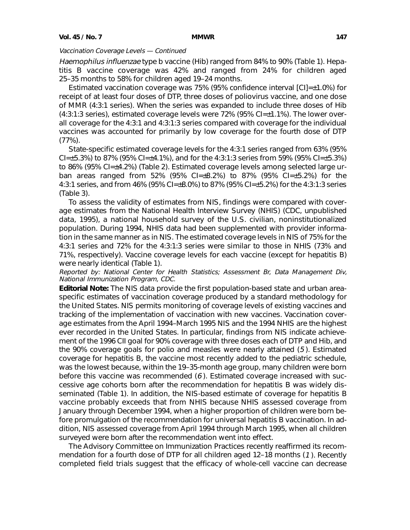Haemophilus influenzae type b vaccine (Hib) ranged from 84% to 90% (Table 1). Hepatitis B vaccine coverage was 42% and ranged from 24% for children aged 25–35 months to 58% for children aged 19–24 months.

Estimated vaccination coverage was 75% (95% confidence interval [CI]=±1.0%) for receipt of at least four doses of DTP, three doses of poliovirus vaccine, and one dose of MMR (4:3:1 series). When the series was expanded to include three doses of Hib (4:3:1:3 series), estimated coverage levels were 72% (95% CI=±1.1%). The lower overall coverage for the 4:3:1 and 4:3:1:3 series compared with coverage for the individual vaccines was accounted for primarily by low coverage for the fourth dose of DTP (77%).

State-specific estimated coverage levels for the 4:3:1 series ranged from 63% (95% CI= $\pm$ 5.3%) to 87% (95% CI= $\pm$ 4.1%), and for the 4:3:1:3 series from 59% (95% CI= $\pm$ 5.3%) to 86% (95% CI=±4.2%) (Table 2). Estimated coverage levels among selected large urban areas ranged from 52% (95% CI=±8.2%) to 87% (95% CI=±5.2%) for the 4:3:1 series, and from 46% (95% CI=±8.0%) to 87% (95% CI=±5.2%) for the 4:3:1:3 series (Table 3).

To assess the validity of estimates from NIS, findings were compared with coverage estimates from the National Health Interview Survey (NHIS) (CDC, unpublished data, 1995), a national household survey of the U.S. civilian, noninstitutionalized population. During 1994, NHIS data had been supplemented with provider information in the same manner as in NIS. The estimated coverage levels in NIS of 75% for the 4:3:1 series and 72% for the 4:3:1:3 series were similar to those in NHIS (73% and 71%, respectively). Vaccine coverage levels for each vaccine (except for hepatitis B) were nearly identical (Table 1).

Reported by: National Center for Health Statistics; Assessment Br, Data Management Div, National Immunization Program, CDC.

**Editorial Note:** The NIS data provide the first population-based state and urban areaspecific estimates of vaccination coverage produced by a standard methodology for the United States. NIS permits monitoring of coverage levels of existing vaccines and tracking of the implementation of vaccination with new vaccines. Vaccination coverage estimates from the April 1994–March 1995 NIS and the 1994 NHIS are the highest ever recorded in the United States. In particular, findings from NIS indicate achievement of the 1996 CII goal for 90% coverage with three doses each of DTP and Hib, and the 90% coverage goals for polio and measles were nearly attained (5 ). Estimated coverage for hepatitis B, the vaccine most recently added to the pediatric schedule, was the lowest because, within the 19–35-month age group, many children were born before this vaccine was recommended (6 ). Estimated coverage increased with successive age cohorts born after the recommendation for hepatitis B was widely disseminated (Table 1). In addition, the NIS-based estimate of coverage for hepatitis B vaccine probably exceeds that from NHIS because NHIS assessed coverage from January through December 1994, when a higher proportion of children were born before promulgation of the recommendation for universal hepatitis B vaccination. In addition, NIS assessed coverage from April 1994 through March 1995, when all children surveyed were born after the recommendation went into effect.

The Advisory Committee on Immunization Practices recently reaffirmed its recommendation for a fourth dose of DTP for all children aged 12–18 months (1). Recently completed field trials suggest that the efficacy of whole-cell vaccine can decrease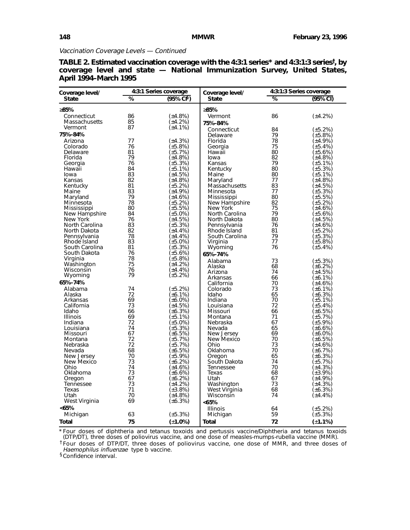| Coverage level/ |                              | 4:3:1 Series coverage | Coverage level/   |          | 4:3:1:3 Series coverage  |
|-----------------|------------------------------|-----------------------|-------------------|----------|--------------------------|
| <b>State</b>    | %<br>$(95\% \text{ Cl}^{5})$ |                       |                   | ℅        | $(95%$ CI)               |
| ≥85%            |                              |                       | ≥85%              |          |                          |
| Connecticut     | 86                           | (±4.8%)               | Vermont           | 86       | (±4.2%)                  |
| Massachusetts   | 85                           | $(\pm 4.2\%)$         |                   |          |                          |
| Vermont         | 87                           | (±4.1%)               | 75%-84%           |          |                          |
|                 |                              |                       | Connecticut       | 84       | (±5.2%)                  |
| 75%-84%         |                              |                       | Delaware          | 79       | (±5.8%)                  |
| Arizona         | 77                           | $(\pm 4.3\%)$         | Florida           | 78       | $(\pm 4.9\%)$            |
| Colorado        | 76                           | (±5.8%)               | Georgia           | 75       | (±5.4%)                  |
| Delaware        | 81<br>79                     | (±5.7%)               | Hawaii            | 80       | (±5.6%)                  |
| Florida         |                              | (±4.8%)               | lowa              | 82       | (±4.8%)                  |
| Georgia         | 76<br>84                     | (±5.3%)<br>(±5.1%)    | Kansas            | 79<br>80 | (±5.1%)<br>$(\pm 5.3\%)$ |
| Hawaii<br>Iowa  | 83                           | (±4.5%)               | Kentucky<br>Maine | 80       | (±5.1%)                  |
| Kansas          | 82                           | (±4.8%)               | Maryland          | 77       | (±4.8%)                  |
| Kentucky        | 81                           | (±5.2%)               | Massachusetts     | 83       | (±4.5%)                  |
| Maine           | 83                           | (±4.9%)               | Minnesota         | 77       | $(\pm 5.3\%)$            |
| Maryland        | 79                           | (±4.6%)               | Mississippi       | 80       | (±5.5%)                  |
| Minnesota       | 78                           | (±5.2%)               | New Hampshire     | 82       | (±5.2%)                  |
| Mississippi     | 80                           | (±5.5%)               | New York          | 75       | (±4.6%)                  |
| New Hampshire   | 84                           | (±5.0%)               | North Carolina    | 79       | (±5.6%)                  |
| New York        | 76                           | (±4.5%)               | North Dakota      | 80       | (±4.5%)                  |
| North Carolina  | 83                           | (±5.3%)               | Pennsylvania      | 76       | (±4.6%)                  |
| North Dakota    | 82                           | (±4.4%)               | Rhode Island      | 81       | (±5.2%)                  |
| Pennsylvania    | 78                           | (±4.4%)               | South Carolina    | 79       | (±5.3%)                  |
| Rhode Island    | 83                           | (±5.0%)               | Virginia          | 77       | (±5.8%)                  |
| South Carolina  | 81                           | (±5.3%)               | Wyoming           | 76       | $(\pm 5.4\%)$            |
| South Dakota    | 76                           | (±5.6%)               | 65%-74%           |          |                          |
| Virginia        | 78                           | $(\pm 5.8\%)$         | Alabama           | 73       | $(\pm 5.3%)$             |
| Washington      | 75                           | (±4.2%)               | Alaska            | 68       | (±6.2%)                  |
| Wisconsin       | 76                           | (±4.4%)               | Arizona           | 74       | (±4.5%)                  |
| Wyoming         | 79                           | (±5.2%)               | Arkansas          | 66       | (±6.1%)                  |
| 65%-74%         |                              |                       | California        | 70       | $(\pm 4.6%)$             |
| Alabama         | 74                           | (±5.2%)               | Colorado          | 73       | (±6.1%)                  |
| Alaska          | 72                           | (±6.1%)               | Idaho             | 65       | $(\pm 6.3\%)$            |
| Arkansas        | 69                           | (±6.0%)               | Indiana           | 70       | (±5.1%)                  |
| California      | 73                           | (±4.5%)               | Louisiana         | 72       | (±5.4%)                  |
| Idaho           | 66                           | $(\pm 6.3\%)$         | Missouri          | 66       | (±6.5%)                  |
| <b>Illinois</b> | 69                           | (±5.1%)               | Montana           | 71       | (±5.7%)                  |
| Indiana         | 72                           | (±5.0%)               | Nebraska          | 67       | (±5.9%)                  |
| Louisiana       | 74                           | (±5.3%)               | Nevada            | 65       | (±6.6%)                  |
| Missouri        | 67                           | $(\pm 6.5\%)$         | New Jersey        | 69       | (±6.0%)                  |
| Montana         | 72                           | (±5.7%)               | New Mexico        | 70       | (±6.5%)                  |
| Nebraska        | 72                           | (±5.7%)               | Ohio              | 73       | (±4.6%)                  |
| Nevada          | 68                           | $(\pm 6.5\%)$         | Oklahoma          | 70       | (±6.7%)                  |
| New Jersey      | 70                           | (±5.9%)               | Oregon            | 65       | (±6.3%)                  |
| New Mexico      | 73                           | (±6.2%)               | South Dakota      | 74       | (±5.7%)                  |
| Ohio            | 74                           | (±4.6%)               | Tennessee         | 70       | (±4.3%)                  |
| Oklahoma        | 73                           | (±6.6%)               | Texas             | 68       | (±3.9%)                  |
| Oregon          | 67                           | (±6.2%)               | Utah              | 67       | (±4.9%)                  |
| Tennessee       | 73                           | (±4.2%)               | Washington        | 73       | (±4.3%)                  |
| Texas           | 71                           | (±3.8%)               | West Virginia     | 68       | $(\pm 6.3\%)$            |
| Utah            | 70<br>69                     | (±4.8%)               | Wisconsin         | 74       | (±4.4%)                  |
| West Virginia   |                              | $(\pm 6.3\%)$         | <65%              |          |                          |
| < 65%           |                              |                       | <b>Illinois</b>   | 64       | (±5.2%)                  |
| Michigan        | 63                           | $(\pm 5.3\%)$         | Michigan          | 59       | (±5.3%)                  |
| Total           | 75                           | $(\pm 1.0\%)$         | <b>Total</b>      | 72       | $(\pm 1.1\%)$            |

|                              |  |  | TABLE 2. Estimated vaccination coverage with the 4:3:1 series* and 4:3:1:3 series <sup>†</sup> , by |  |  |
|------------------------------|--|--|-----------------------------------------------------------------------------------------------------|--|--|
|                              |  |  | coverage level and state - National Immunization Survey, United States,                             |  |  |
| <b>April 1994-March 1995</b> |  |  |                                                                                                     |  |  |

\* Four doses of diphtheria and tetanus toxoids and pertussis vaccine/Diphtheria and tetanus toxoids (DTP/DT), three doses of poliovirus vaccine, and one dose of measles-mumps-rubella vaccine (MMR). †Four doses of DTP/DT, three doses of poliovirus vaccine, one dose of MMR, and three doses of Haemophilus influenzae type b vaccine.

§Confidence interval.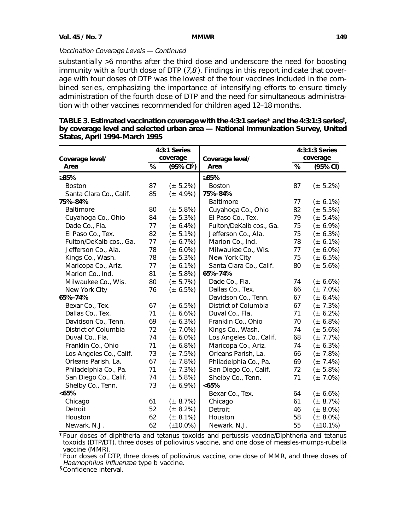substantially >6 months after the third dose and underscore the need for boosting immunity with a fourth dose of DTP  $(7,8)$ . Findings in this report indicate that coverage with four doses of DTP was the lowest of the four vaccines included in the combined series, emphasizing the importance of intensifying efforts to ensure timely administration of the fourth dose of DTP and the need for simultaneous administration with other vaccines recommended for children aged 12–18 months.

|                         |      | 4:3:1 Series   |                         | 4:3:1:3 Series |                |  |  |  |
|-------------------------|------|----------------|-------------------------|----------------|----------------|--|--|--|
| Coverage level/         |      | coverage       | Coverage level/         |                | coverage       |  |  |  |
| Area                    | $\%$ | (95% CI§)      | Area                    | %              | (95% CI)       |  |  |  |
| ≥85%                    |      |                | ≥85%                    |                |                |  |  |  |
| <b>Boston</b>           | 87   | $(\pm 5.2\%)$  | <b>Boston</b>           | 87             | $(\pm 5.2\%)$  |  |  |  |
| Santa Clara Co., Calif. | 85   | $(\pm 4.9\%)$  | 75%-84%                 |                |                |  |  |  |
| 75%-84%                 |      |                | Baltimore               | 77             | (± 6.1%)       |  |  |  |
| <b>Baltimore</b>        | 80   | $(\pm 5.8\%)$  | Cuyahoga Co., Ohio      | 82             | (± 5.5%)       |  |  |  |
| Cuyahoga Co., Ohio      | 84   | $(\pm 5.3\%)$  | El Paso Co., Tex.       | 79             | $(\pm 5.4\%)$  |  |  |  |
| Dade Co., Fla.          | 77   | (± 6.4%)       | Fulton/DeKalb cos., Ga. | 75             | (± 6.9%)       |  |  |  |
| El Paso Co., Tex.       | 82   | $(\pm 5.1\%)$  | Jefferson Co., Ala.     | 75             | (± 6.3%)       |  |  |  |
| Fulton/DeKalb cos., Ga. | 77   | $(\pm 6.7\%)$  | Marion Co., Ind.        | 78             | (± 6.1%)       |  |  |  |
| Jefferson Co., Ala.     | 78   | (± 6.0%)       | Milwaukee Co., Wis.     | 77             | (± 6.0%)       |  |  |  |
| Kings Co., Wash.        | 78   | $(\pm 5.3\%)$  | New York City           | 75             | (± 6.5%)       |  |  |  |
| Maricopa Co., Ariz.     | 77   | (± 6.1%)       | Santa Clara Co., Calif. | 80             | (± 5.6%)       |  |  |  |
| Marion Co., Ind.        | 81   | $(\pm 5.8\%)$  | 65%-74%                 |                |                |  |  |  |
| Milwaukee Co., Wis.     | 80   | $(\pm 5.7\%)$  | Dade Co., Fla.          | 74             | (± 6.6%)       |  |  |  |
| New York City           | 76   | (± 6.5%)       | Dallas Co., Tex.        | 66             | $(\pm 7.0\%)$  |  |  |  |
| 65%-74%                 |      |                | Davidson Co., Tenn.     | 67             | (± 6.4%)       |  |  |  |
| Bexar Co., Tex.         | 67   | (± 6.5%)       | District of Columbia    | 67             | $(\pm 7.3\%)$  |  |  |  |
| Dallas Co., Tex.        | 71   | (± 6.6%)       | Duval Co., Fla.         | 71             | (± 6.2%)       |  |  |  |
| Davidson Co., Tenn.     | 69   | (± 6.3%)       | Franklin Co., Ohio      | 70             | (± 6.8%)       |  |  |  |
| District of Columbia    | 72   | $(\pm 7.0\%)$  | Kings Co., Wash.        | 74             | $(\pm 5.6\%)$  |  |  |  |
| Duval Co., Fla.         | 74   | (± 6.0%)       | Los Angeles Co., Calif. | 68             | $(\pm 7.7\%)$  |  |  |  |
| Franklin Co., Ohio      | 71   | (± 6.8%)       | Maricopa Co., Ariz.     | 74             | (± 6.3%)       |  |  |  |
| Los Angeles Co., Calif. | 73   | $(\pm 7.5\%)$  | Orleans Parish, La.     | 66             | $(\pm 7.8\%)$  |  |  |  |
| Orleans Parish, La.     | 67   | $(\pm 7.8%)$   | Philadelphia Co., Pa.   | 69             | $(\pm 7.4\%)$  |  |  |  |
| Philadelphia Co., Pa.   | 71   | $(\pm 7.3\%)$  | San Diego Co., Calif.   | 72             | $(\pm 5.8\%)$  |  |  |  |
| San Diego Co., Calif.   | 74   | (± 5.8%)       | Shelby Co., Tenn.       | 71             | $(\pm 7.0\%)$  |  |  |  |
| Shelby Co., Tenn.       | 73   | (± 6.9%)       | <65%                    |                |                |  |  |  |
| < 65%                   |      |                | Bexar Co., Tex.         | 64             | (± 6.6%)       |  |  |  |
| Chicago                 | 61   | $(\pm 8.7\%)$  | Chicago                 | 61             | $(\pm 8.7\%)$  |  |  |  |
| Detroit                 | 52   | $(\pm 8.2\%)$  | Detroit                 | 46             | (± 8.0%)       |  |  |  |
| Houston                 | 62   | $(\pm 8.1\%)$  | Houston                 | 58             | (± 8.0%)       |  |  |  |
| Newark, N.J.            | 62   | $(\pm 10.0\%)$ | Newark, N.J.            | 55             | $(\pm 10.1\%)$ |  |  |  |

| TABLE 3. Estimated vaccination coverage with the 4:3:1 series* and the 4:3:1:3 series <sup>†</sup> , |  |
|------------------------------------------------------------------------------------------------------|--|
| by coverage level and selected urban area - National Immunization Survey, United                     |  |
| States, April 1994–March 1995                                                                        |  |

\*Four doses of diphtheria and tetanus toxoids and pertussis vaccine/Diphtheria and tetanus toxoids (DTP/DT), three doses of poliovirus vaccine, and one dose of measles-mumps-rubella vaccine (MMR).

†Four doses of DTP, three doses of poliovirus vaccine, one dose of MMR, and three doses of Haemophilus influenzae type b vaccine.

§Confidence interval.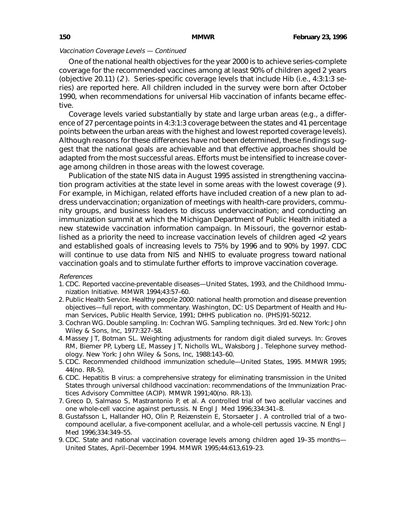One of the national health objectives for the year 2000 is to achieve series-complete coverage for the recommended vaccines among at least 90% of children aged 2 years (objective 20.11) (2 ). Series-specific coverage levels that include Hib (i.e., 4:3:1:3 series) are reported here. All children included in the survey were born after October 1990, when recommendations for universal Hib vaccination of infants became effective.

Coverage levels varied substantially by state and large urban areas (e.g., a difference of 27 percentage points in 4:3:1:3 coverage between the states and 41 percentage points between the urban areas with the highest and lowest reported coverage levels). Although reasons for these differences have not been determined, these findings suggest that the national goals are achievable and that effective approaches should be adapted from the most successful areas. Efforts must be intensified to increase coverage among children in those areas with the lowest coverage.

Publication of the state NIS data in August 1995 assisted in strengthening vaccination program activities at the state level in some areas with the lowest coverage (9 ). For example, in Michigan, related efforts have included creation of a new plan to address undervaccination; organization of meetings with health-care providers, community groups, and business leaders to discuss undervaccination; and conducting an immunization summit at which the Michigan Department of Public Health initiated a new statewide vaccination information campaign. In Missouri, the governor established as a priority the need to increase vaccination levels of children aged <2 years and established goals of increasing levels to 75% by 1996 and to 90% by 1997. CDC will continue to use data from NIS and NHIS to evaluate progress toward national vaccination goals and to stimulate further efforts to improve vaccination coverage.

## References

- 1. CDC. Reported vaccine-preventable diseases—United States, 1993, and the Childhood Immunization Initiative. MMWR 1994;43:57–60.
- 2. Public Health Service. Healthy people 2000: national health promotion and disease prevention objectives—full report, with commentary. Washington, DC: US Department of Health and Human Services, Public Health Service, 1991; DHHS publication no. (PHS)91-50212.
- 3. Cochran WG. Double sampling. In: Cochran WG. Sampling techniques. 3rd ed. New York: John Wiley & Sons, Inc, 1977:327–58.
- 4. Massey JT, Botman SL. Weighting adjustments for random digit dialed surveys. In: Groves RM, Biemer PP, Lyberg LE, Massey JT, Nicholls WL, Waksborg J. Telephone survey methodology. New York: John Wiley & Sons, Inc, 1988:143–60.
- 5. CDC. Recommended childhood immunization schedule—United States, 1995. MMWR 1995; 44(no. RR-5).
- 6. CDC. Hepatitis B virus: a comprehensive strategy for eliminating transmission in the United States through universal childhood vaccination: recommendations of the Immunization Practices Advisory Committee (ACIP). MMWR 1991;40(no. RR-13).
- 7. Greco D, Salmaso S, Mastrantonio P, et al. A controlled trial of two acellular vaccines and one whole-cell vaccine against pertussis. N Engl J Med 1996;334:341–8.
- 8. Gustafsson L, Hallander HO, Olin P, Reizenstein E, Storsaeter J. A controlled trial of a twocompound acellular, a five-component acellular, and a whole-cell pertussis vaccine. N Engl J Med 1996;334:349–55.
- 9. CDC. State and national vaccination coverage levels among children aged 19–35 months— United States, April–December 1994. MMWR 1995;44:613,619–23.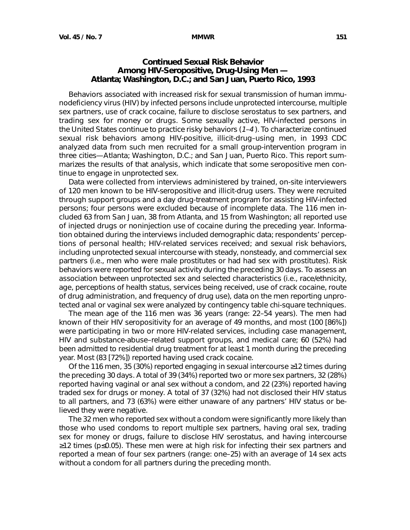# <span id="page-6-0"></span>**Continued Sexual Risk Behavior Among HIV-Seropositive, Drug-Using Men — Atlanta; Washington, D.C.; and San Juan, Puerto Rico, 1993**

Behaviors associated with increased risk for sexual transmission of human immunodeficiency virus (HIV) by infected persons include unprotected intercourse, multiple sex partners, use of crack cocaine, failure to disclose serostatus to sex partners, and trading sex for money or drugs. Some sexually active, HIV-infected persons in the United States continue to practice risky behaviors (1–4 ). To characterize continued sexual risk behaviors among HIV-positive, illicit-drug–using men, in 1993 CDC analyzed data from such men recruited for a small group-intervention program in three cities—Atlanta; Washington, D.C.; and San Juan, Puerto Rico. This report summarizes the results of that analysis, which indicate that some seropositive men continue to engage in unprotected sex.

Data were collected from interviews administered by trained, on-site interviewers of 120 men known to be HIV-seropositive and illicit-drug users. They were recruited through support groups and a day drug-treatment program for assisting HIV-infected persons; four persons were excluded because of incomplete data. The 116 men included 63 from San Juan, 38 from Atlanta, and 15 from Washington; all reported use of injected drugs or noninjection use of cocaine during the preceding year. Information obtained during the interviews included demographic data; respondents' perceptions of personal health; HIV-related services received; and sexual risk behaviors, including unprotected sexual intercourse with steady, nonsteady, and commercial sex partners (i.e., men who were male prostitutes or had had sex with prostitutes). Risk behaviors were reported for sexual activity during the preceding 30 days. To assess an association between unprotected sex and selected characteristics (i.e., race/ethnicity, age, perceptions of health status, services being received, use of crack cocaine, route of drug administration, and frequency of drug use), data on the men reporting unprotected anal or vaginal sex were analyzed by contingency table chi-square techniques.

The mean age of the 116 men was 36 years (range: 22–54 years). The men had known of their HIV seropositivity for an average of 49 months, and most (100 [86%]) were participating in two or more HIV-related services, including case management, HIV and substance-abuse–related support groups, and medical care; 60 (52%) had been admitted to residential drug treatment for at least 1 month during the preceding year. Most (83 [72%]) reported having used crack cocaine.

Of the 116 men, 35 (30%) reported engaging in sexual intercourse ≥12 times during the preceding 30 days. A total of 39 (34%) reported two or more sex partners, 32 (28%) reported having vaginal or anal sex without a condom, and 22 (23%) reported having traded sex for drugs or money. A total of 37 (32%) had not disclosed their HIV status to all partners, and 73 (63%) were either unaware of any partners' HIV status or believed they were negative.

The 32 men who reported sex without a condom were significantly more likely than those who used condoms to report multiple sex partners, having oral sex, trading sex for money or drugs, failure to disclose HIV serostatus, and having intercourse ≥12 times (p≤0.05). These men were at high risk for infecting their sex partners and reported a mean of four sex partners (range: one–25) with an average of 14 sex acts without a condom for all partners during the preceding month.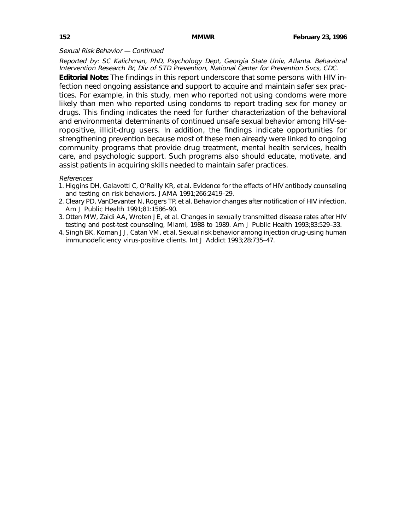### Sexual Risk Behavior — Continued

Reported by: SC Kalichman, PhD, Psychology Dept, Georgia State Univ, Atlanta. Behavioral Intervention Research Br, Div of STD Prevention, National Center for Prevention Svcs, CDC.

**Editorial Note:** The findings in this report underscore that some persons with HIV infection need ongoing assistance and support to acquire and maintain safer sex practices. For example, in this study, men who reported not using condoms were more likely than men who reported using condoms to report trading sex for money or drugs. This finding indicates the need for further characterization of the behavioral and environmental determinants of continued unsafe sexual behavior among HIV-seropositive, illicit-drug users. In addition, the findings indicate opportunities for strengthening prevention because most of these men already were linked to ongoing community programs that provide drug treatment, mental health services, health care, and psychologic support. Such programs also should educate, motivate, and assist patients in acquiring skills needed to maintain safer practices.

### References

- 1. Higgins DH, Galavotti C, O'Reilly KR, et al. Evidence for the effects of HIV antibody counseling and testing on risk behaviors. JAMA 1991;266:2419–29.
- 2. Cleary PD, VanDevanter N, Rogers TP, et al. Behavior changes after notification of HIV infection. Am J Public Health 1991;81:1586–90.
- 3. Otten MW, Zaidi AA, Wroten JE, et al. Changes in sexually transmitted disease rates after HIV testing and post-test counseling, Miami, 1988 to 1989. Am J Public Health 1993;83:529–33.
- 4. Singh BK, Koman JJ, Catan VM, et al. Sexual risk behavior among injection drug-using human immunodeficiency virus-positive clients. Int J Addict 1993;28:735–47.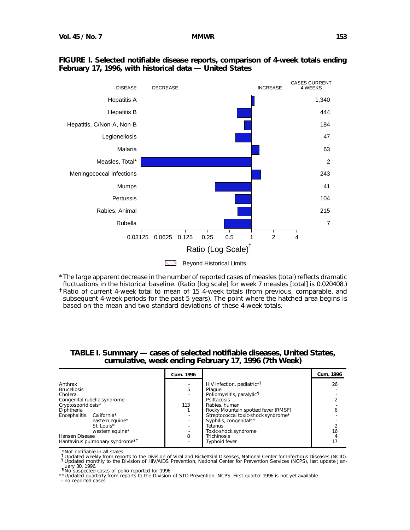

## **FIGURE I. Selected notifiable disease reports, comparison of 4-week totals ending February 17, 1996, with historical data — United States**

|                                                                                                                                                                                              | Cum. 1996 |                                                                                                                                                                                                                                                                       | Cum. 1996 |
|----------------------------------------------------------------------------------------------------------------------------------------------------------------------------------------------|-----------|-----------------------------------------------------------------------------------------------------------------------------------------------------------------------------------------------------------------------------------------------------------------------|-----------|
| Anthrax<br><b>Brucellosis</b><br>Cholera<br>Congenital rubella syndrome<br>Cryptosporidiosis*<br>Diphtheria<br>Encephalitis: California*<br>eastern equine*<br>St. Louis*<br>western equine* | 5<br>113  | HIV infection, pediatric* <sup>§</sup><br>Plague<br>Poliomyelitis, paralytic <sup>11</sup><br>Psittacosis<br>Rabies, human<br>Rocky Mountain spotted fever (RMSF)<br>Streptococcal toxic-shock syndrome*<br>Syphilis, congenital**<br>Tetanus<br>Toxic-shock syndrome | 26<br>16  |
| Hansen Disease<br>Hantavirus pulmonary syndrome <sup>*1</sup>                                                                                                                                | 8         | <b>Trichinosis</b><br><b>Typhoid fever</b>                                                                                                                                                                                                                            |           |

## **TABLE I. Summary — cases of selected notifiable diseases, United States, cumulative, week ending February 17, 1996 (7th Week)**

Not notifiable in all states.

Tupdated weekly from reports to the Division of Viral and Rickettsial Diseases, National Center for Infectious Diseases (NCID).<br>
§ Updated monthly to the Division of HIV/AIDS Prevention, National Center for Prevention Serv

uary 30, 1996.<br>¶No suspected cases of polio reported for 1996.<br>\*\*Updated quarterly from reports to the Division of STD Prevention, NCPS. First quarter 1996 is not yet available.

-: no reported cases

<sup>\*</sup>The large apparent decrease in the number of reported cases of measles (total) reflects dramatic fluctuations in the historical baseline. (Ratio [log scale] for week 7 measles [total] is 0.020408.) †Ratio of current 4-week total to mean of 15 4-week totals (from previous, comparable, and subsequent 4-week periods for the past 5 years). The point where the hatched area begins is based on the mean and two standard deviations of these 4-week totals.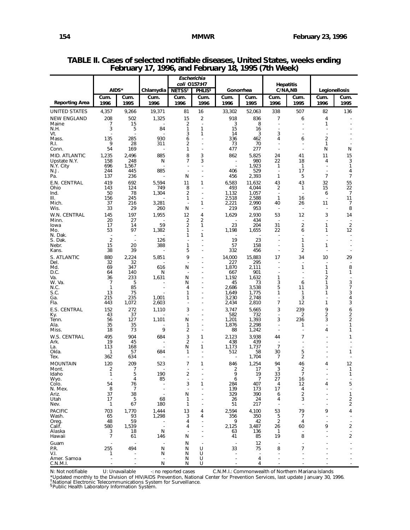|                             |                     |                      |                   | coli 0157:H7                     | Escherichia                                |                                            |                      |                                                      | <b>Hepatitis</b>                           |                      |                       |
|-----------------------------|---------------------|----------------------|-------------------|----------------------------------|--------------------------------------------|--------------------------------------------|----------------------|------------------------------------------------------|--------------------------------------------|----------------------|-----------------------|
|                             | AIDS*<br>Cum.       | Cum.                 | Chlamydia<br>Cum. | <b>NETSS<sup>t</sup></b><br>Cum. | <b>PHLIS</b> <sup>§</sup><br>Cum.          | Gonorrhea<br>Cum.                          | Cum.                 | Cum.                                                 | C/NA,NB<br>Cum.                            | Cum.                 | Legionellosis<br>Cum. |
| <b>Reporting Area</b>       | 1996                | 1995                 | 1996              | 1996                             | 1996                                       | 1996                                       | 1995                 | 1996                                                 | 1995                                       | 1996                 | 1995                  |
| UNITED STATES               | 4,357               | 9,266                | 19,371            | 81                               | 16                                         | 33,302                                     | 52,063               | 338                                                  | 507                                        | 82                   | 136                   |
| <b>NEW ENGLAND</b><br>Maine | 208<br>7            | 502<br>15            | 1,325             | 15<br>2                          | $\overline{2}$<br>$\overline{\phantom{a}}$ | 918<br>3                                   | 836<br>8             | 7<br>$\overline{a}$                                  | 6<br>$\overline{a}$                        | $\overline{4}$<br>1  |                       |
| N.H.<br>Vt.                 | 3                   | 5                    | 84                | 1<br>3                           | 1<br>1                                     | 15<br>14                                   | 16<br>3              | $\overline{\phantom{a}}$<br>3                        | ÷.<br>Ĭ.                                   | ÷<br>J.              |                       |
| Mass.                       | 135                 | 285                  | 930               | 6                                | Ĭ.                                         | 336                                        | 462                  | 4                                                    | 6                                          | 2                    |                       |
| R.I.<br>Conn.               | 9<br>54             | 28<br>169            | 311<br>٠.         | 2<br>1                           | J.<br>$\overline{a}$                       | 73<br>477                                  | 70<br>277            | $\overline{\phantom{a}}$<br>$\overline{\phantom{a}}$ | $\overline{a}$<br>$\overline{\phantom{a}}$ | 1<br>N               | Ν                     |
| MID. ATLANTIC               | 1,235               | 2,496                | 885               | 8                                | 3                                          | 862                                        | 5,825                | 24                                                   | 41                                         | 11                   | 15                    |
| Upstate N.Y.<br>N.Y. City   | 158<br>696          | 248<br>1,567         | N                 | 7                                | 3<br>٠                                     | $\overline{a}$<br>$\overline{\phantom{a}}$ | 980<br>1,923         | 22<br>1                                              | 18<br>1                                    | 4<br>٠               | 3<br>1                |
| N.J.                        | 244                 | 445                  | 885               |                                  | Ĭ.                                         | 406                                        | 529                  | $\overline{\phantom{a}}$                             | 17                                         | $\blacksquare$       | 4                     |
| Pa.<br>E.N. CENTRAL         | 137<br>419          | 236<br>692           | 5,594             | N<br>11                          | J.<br>1                                    | 456<br>6,583                               | 2,393                | 1<br>43                                              | 5<br>43                                    | $\overline{7}$<br>32 | 7<br>55               |
| Ohio                        | 143                 | 124                  | 749               | 8                                | $\overline{a}$                             | 493                                        | 11,632<br>4,044      | 2                                                    | 1                                          | 15                   | 22                    |
| Ind.<br>III.                | 50<br>156           | 78<br>245            | 1,304             | 2<br>1                           | ÷.<br>$\overline{a}$                       | 1,132<br>2,518                             | 1,057<br>2,588       | $\overline{\phantom{a}}$<br>1                        | $\overline{\phantom{a}}$<br>16             | 6<br>$\blacksquare$  | $\overline{7}$<br>11  |
| Mich.                       | 37                  | 216                  | 3,281             |                                  | 1                                          | 2,221                                      | 2,990                | 40                                                   | 26                                         | 11                   | 7                     |
| Wis.<br>W.N. CENTRAL        | 33<br>145           | 29<br>197            | 260<br>1,955      | N<br>12                          | ÷,<br>4                                    | 219<br>1,629                               | 953<br>2,930         | $\overline{\phantom{a}}$<br>53                       | $\overline{a}$<br>12                       | 3                    | 8<br>14               |
| Minn.                       | 20                  | 27                   |                   | 2                                | 2                                          |                                            | 434                  |                                                      | $\overline{\phantom{a}}$                   |                      |                       |
| lowa<br>Mo.                 | 17<br>53            | 14<br>97             | 59<br>1,382       | 2<br>1                           | 1<br>$\overline{\phantom{a}}$              | 23<br>1,198                                | 204<br>1,655         | 31<br>22                                             | $\overline{2}$<br>6                        | 1<br>1               | 2<br>12               |
| N. Dak.                     | 2                   |                      |                   | 1                                | 1<br>Ĭ.                                    | 19                                         | 23                   |                                                      | 1                                          |                      |                       |
| S. Dak.<br>Nebr.            | 15                  | 20                   | 126<br>388        | 1                                | $\overline{a}$                             | 57                                         | 158                  |                                                      | 1                                          | 1                    |                       |
| Kans.                       | 38                  | 39                   |                   | 5                                | ÷,                                         | 332                                        | 456                  |                                                      | $\overline{2}$                             |                      |                       |
| S. ATLANTIC<br>Del.         | 880<br>32           | 2,224<br>32          | 5,851             | 9                                | J.                                         | 14,000<br>227                              | 15,883<br>295        | 17                                                   | 34<br>$\overline{a}$                       | 10                   | 29                    |
| Md.<br>D.C.                 | 69<br>64            | 347<br>140           | 616<br>N          | N<br>$\overline{\phantom{a}}$    | Ĭ.                                         | 1,870<br>667                               | 2,111<br>901         |                                                      | 1<br>÷,                                    | 1<br>1               | 8<br>1                |
| Va.                         | 36                  | 233                  | 1,631             | N                                |                                            | 1,192                                      | 1,632                | 1                                                    |                                            | 2                    |                       |
| W. Va.<br>N.C.              | 7<br>1              | 5<br>85              |                   | N<br>4                           | Ĭ.                                         | 45<br>2,686                                | 73<br>3,538          | 3<br>5                                               | 6<br>11                                    | 1<br>3               | 3<br>$\overline{7}$   |
| S.C.                        | 13                  | 75                   |                   | 1                                |                                            | 1,649                                      | 1,775                | 1                                                    | 1                                          | 1                    | 3                     |
| Ga.<br>Fla.                 | 215<br>443          | 235<br>1,072         | 1,001<br>2,603    | 1                                | ÷,                                         | 3,230<br>2,434                             | 2,748<br>2,810       | ÷,<br>7                                              | 3<br>12                                    | 1                    | 4<br>3                |
| E.S. CENTRAL                | 152                 | 272                  | 1,110             | 3                                |                                            | 3,747                                      | 5,665                | 3                                                    | 239                                        | 9                    | 6                     |
| Ky.<br>Tenn.                | 43<br>56            | 37<br>127            | 1,101             | $\overline{a}$<br>N              |                                            | 582<br>1,201                               | 732<br>1,393         | $\overline{\phantom{a}}$<br>3                        | 2<br>236                                   | $\overline{2}$<br>3  | 2<br>2                |
| Ala.                        | 35                  | 35<br>73             | 9                 | 1<br>$\overline{2}$              | ÷,                                         | 1,876                                      | 2,298                |                                                      | 1<br>Ĭ.                                    | 4                    | 1<br>1                |
| Miss.<br>W.S. CENTRAL       | 18<br>495           | 904                  | 684               | 3                                | 1                                          | 88<br>2,123                                | 1,242<br>3,938       | $\overline{a}$<br>44                                 | $\overline{7}$                             |                      | 1                     |
| Ark.                        | 19                  | 45                   |                   | 2                                |                                            | 438                                        | 439                  |                                                      |                                            |                      |                       |
| La.<br>Okla.                | 113<br>1            | 168<br>57            | 684               | N<br>1                           | 1                                          | 1,173<br>512                               | 1,737<br>58          | $\overline{7}$<br>30                                 | 5                                          |                      | 1                     |
| Tex.                        | 362                 | 634                  |                   |                                  |                                            |                                            | 1,704                | $\overline{7}$                                       | 2                                          |                      |                       |
| <b>MOUNTAIN</b><br>Mont.    | 120<br>2            | 209<br>7             | 523               | $\overline{7}$                   | 1                                          | 846<br>2                                   | 1,254<br>17          | 94<br>3                                              | 46<br>2                                    | 4                    | 12<br>1               |
| Idaho                       | 1                   | 5<br>4               | 190<br>85         | 2<br>$\overline{\phantom{a}}$    | $\overline{a}$                             | 9<br>6                                     | 19<br>$\overline{7}$ | 33<br>27                                             | 7<br>16                                    | $\overline{a}$       | 1                     |
| Wyo.<br>Colo.               | 54                  | 76                   |                   | 3                                | 1                                          | 284                                        | 407                  | 4                                                    | 12                                         | 4                    | 5                     |
| N. Mex.<br>Ariz.            | 8<br>37             | $\overline{7}$<br>38 |                   | N                                |                                            | 139<br>329                                 | 173<br>390           | 17<br>6                                              | 4<br>$\overline{2}$                        |                      | $\mathbf{1}$          |
| Utah                        | 17                  | 5                    | 68                | 1                                |                                            | 26                                         | 24                   | 4                                                    | 3                                          |                      | 2                     |
| Nev.<br><b>PACIFIC</b>      | 1<br>703            | 67<br>1,770          | 180<br>1,444      | 1<br>13                          | 4                                          | 51<br>2,594                                | 217<br>4,100         | 53                                                   | $\overline{\phantom{a}}$<br>79             | 9                    | $\overline{2}$<br>4   |
| Wash.                       | 65                  | 93                   | 1,298             | 3                                | 4                                          | 356                                        | 350                  | 5                                                    | 7                                          |                      |                       |
| Oreg.<br>Calif.             | 48<br>580           | 59<br>1,539          |                   | 4<br>4                           |                                            | 9<br>2,125                                 | 42<br>3,487          | $\overline{2}$<br>26                                 | 4<br>60                                    | 9                    | 2                     |
| Alaska                      | 3<br>$\overline{7}$ | 18<br>61             | N                 | Ν                                |                                            | 63                                         | 136<br>85            | 1<br>19                                              | 8                                          |                      | 2                     |
| Hawaii<br>Guam              |                     |                      | 146               | N                                |                                            | 41                                         | 12                   |                                                      |                                            |                      |                       |
| P.R.                        | 255                 | 494                  | N                 | N                                | U                                          | 33                                         | 75                   | 8                                                    | $\overline{7}$                             |                      |                       |
| V.I.<br>Amer. Samoa         | 1                   |                      | N                 | N<br>N                           | U<br>U                                     |                                            | 4                    |                                                      |                                            |                      |                       |
| C.N.M.I.                    |                     |                      | N                 | N                                | U                                          |                                            | 4                    |                                                      |                                            |                      |                       |

**TABLE II. Cases of selected notifiable diseases, United States, weeks ending February 17, 1996, and February 18, 1995 (7th Week)**

N: Not notifiable U: Unavailable -: no reported cases C.N.M.I.: Commonwealth of Northern Mariana Islands

\*Updated monthly to the Division of HIV/AIDS Prevention, National Center for Prevention Services, last update January 30, 1996.<br><sup>†</sup>National Electronic Telecommunications System for Surveillance.<br><sup>§</sup>Public Health Laboratory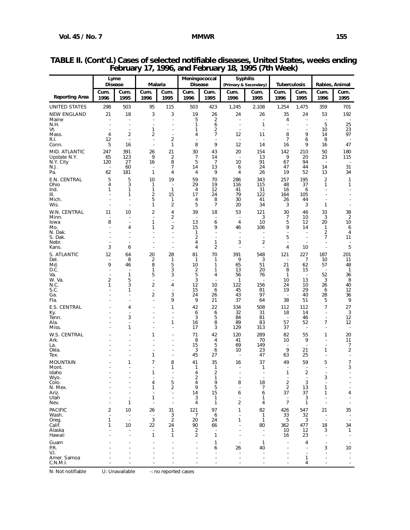|                             | Lyme<br><b>Disease</b>        |                                | Malaria                                      |                                            | Meningococcal<br><b>Disease</b> |                               |                                | <b>Syphilis</b>                                      | <b>Tuberculosis</b>            |                                           |                                | Rabies, Animal                |
|-----------------------------|-------------------------------|--------------------------------|----------------------------------------------|--------------------------------------------|---------------------------------|-------------------------------|--------------------------------|------------------------------------------------------|--------------------------------|-------------------------------------------|--------------------------------|-------------------------------|
|                             | Cum.                          | Cum.                           | Cum.                                         | Cum.                                       | Cum.                            | Cum.                          | Cum.                           | (Primary & Secondary)<br>Cum.                        | Cum.                           | Cum.                                      | Cum.                           | Cum.                          |
| <b>Reporting Area</b>       | 1996                          | 1995                           | 1996                                         | 1995                                       | 1996                            | 1995                          | 1996                           | 1995                                                 | 1996                           | 1995                                      | 1996                           | 1995                          |
| <b>UNITED STATES</b>        | 298                           | 503                            | 95                                           | 115                                        | 503                             | 423                           | 1,245                          | 2,108                                                | 1,254                          | 1,475                                     | 359                            | 701                           |
| <b>NEW ENGLAND</b><br>Maine | 21                            | 18<br>$\overline{a}$           | 3<br>$\overline{a}$                          | 3<br>$\overline{a}$                        | 19<br>5                         | 26<br>2                       | 24                             | 26                                                   | 35<br>4                        | 24<br>$\overline{a}$                      | 53<br>$\overline{a}$           | 192                           |
| N.H.<br>Vt.                 |                               |                                | $\mathbf{1}$                                 |                                            | $\mathbf{1}$<br>$\mathbf{1}$    | 6<br>2                        |                                | $\mathbf{1}$                                         |                                |                                           | 5<br>10                        | 25<br>23                      |
| Mass.                       | 4                             | 2                              | 2                                            |                                            | 4                               | $\overline{7}$                | 12                             | 11                                                   | 8                              | 9                                         | 14                             | 97                            |
| R.I.<br>Conn.               | 12<br>5                       | $\sim$<br>16                   | $\ddot{\phantom{a}}$<br>$\ddot{\phantom{a}}$ | $\overline{2}$<br>1                        | $\overline{\phantom{a}}$<br>8   | 9                             | $\overline{a}$<br>12           | $\overline{a}$<br>14                                 | $\overline{7}$<br>16           | 6<br>9                                    | 8<br>16                        | 47                            |
| MID. ATLANTIC               | 247                           | 391                            | 26<br>9                                      | 21                                         | 30                              | 43                            | 20                             | 154                                                  | 142                            | 210                                       | 50                             | 180                           |
| Upstate N.Y.<br>N.Y. City   | 65<br>120                     | 123<br>27                      | 16                                           | $\overline{2}$<br>8                        | 7<br>5                          | 14<br>$\overline{7}$          | 10                             | 13<br>91                                             | 9<br>67                        | 20<br>94                                  | 23<br>$\overline{\phantom{a}}$ | 115                           |
| N.J.<br>Pa.                 | 62                            | 60<br>181                      | $\mathbf{1}$                                 | 7<br>4                                     | 14<br>4                         | 13<br>9                       | 6<br>4                         | 24<br>26                                             | 47<br>19                       | 44<br>52                                  | 14<br>13                       | 31<br>34                      |
| E.N. CENTRAL                | 5                             | 5                              | 10                                           | 19                                         | 59                              | 70                            | 286                            | 343                                                  | 257                            | 195                                       | $\overline{2}$                 | 1                             |
| Ohio<br>Ind.                | 4<br>1                        | 3<br>1                         | $\mathbf{1}$<br>$\mathbf{1}$                 | $\overline{\phantom{a}}$<br>$\mathbf{1}$   | 29<br>$\overline{4}$            | 19<br>12                      | 116<br>41                      | 115<br>31                                            | 48<br>16                       | 37<br>6                                   | 1                              | 1                             |
| III.<br>Mich.               |                               | 1                              | 2<br>5                                       | 15<br>$\mathbf{1}$                         | 17<br>4                         | 24<br>8                       | 79<br>30                       | 122<br>41                                            | 164<br>26                      | 105<br>44                                 |                                |                               |
| Wis.                        |                               |                                | $\mathbf{1}$                                 | 2                                          | 5                               | $\overline{7}$                | 20                             | 34                                                   | 3                              | 3                                         | 1                              | $\blacksquare$                |
| W.N. CENTRAL<br>Minn.       | 11                            | 10                             | 2<br>÷,                                      | 4<br>2                                     | 39<br>J.                        | 18                            | 53<br>L,                       | 121<br>3                                             | 30<br>7                        | 46<br>10                                  | 33<br>3                        | 38<br>$\overline{2}$          |
| lowa<br>Mo.                 | 8                             | $\overline{a}$<br>4            | 1<br>1                                       | $\overline{\phantom{a}}$<br>$\overline{2}$ | 13<br>15                        | 6<br>9                        | 4<br>46                        | 10<br>106                                            | 5<br>9                         | 12<br>14                                  | 20<br>1                        | 10<br>6                       |
| N. Dak.<br>S. Dak.          |                               |                                | ÷,                                           |                                            | 1<br>2                          |                               | Ĭ.                             | ٠<br>Ĭ.                                              | 5                              | $\overline{a}$                            | $\overline{\mathbf{c}}$<br>7   | 4<br>11                       |
| Nebr.                       | ٠                             |                                |                                              |                                            | 4                               | 1                             | 3                              | 2                                                    | Ĭ.                             | ٠                                         | Ĭ.                             | $\blacksquare$                |
| Kans.<br>S. ATLANTIC        | 3<br>12                       | 6<br>64                        | ÷,<br>20                                     | ٠<br>28                                    | 4<br>81                         | $\overline{2}$<br>70          | 391                            | 548                                                  | 4<br>121                       | 10<br>227                                 | ÷,<br>187                      | 5<br>201                      |
| Del.                        | ٠                             | 8                              | 2                                            | 1                                          | $\mathbf{1}$                    | 1                             | 9                              | 3                                                    | $\overline{a}$                 | 7                                         | 10                             | 11                            |
| Md.<br>D.C.                 | 9<br>$\blacksquare$           | 46<br>$\overline{\phantom{a}}$ | 8<br>1                                       | 5<br>3                                     | 10<br>2                         | 1<br>1                        | 65<br>13                       | 51<br>20                                             | 21<br>8                        | 62<br>15                                  | 57                             | 48<br>$\mathbf{1}$            |
| Va.<br>W. Va.               | $\overline{a}$<br>2           | $\mathbf{1}$<br>5              | 5<br>$\ddot{\phantom{a}}$                    | 3                                          | 5<br>3                          | 4                             | 56<br>1                        | 76                                                   | $\mathbf{1}$<br>10             | $\overline{\phantom{a}}$<br>13            | 52<br>3                        | 36<br>8                       |
| N.C.<br>S.C.                | 1                             | 3<br>1                         | 2<br>$\overline{\phantom{a}}$                | 4<br>$\overline{a}$                        | 12<br>15                        | 10<br>6                       | 122<br>45                      | 156<br>81                                            | 24<br>19                       | 10<br>29                                  | 26<br>6                        | 40<br>12                      |
| Ga.<br>Fla.                 |                               | $\overline{a}$                 | 2<br>$\overline{a}$                          | 3<br>9                                     | 24<br>9                         | 26<br>21                      | 43<br>37                       | 97<br>64                                             | $\overline{a}$<br>38           | 40<br>51                                  | 28<br>5                        | 36<br>9                       |
| E.S. CENTRAL                |                               | 4                              |                                              | 1                                          | 42                              | 22                            | 334                            | 508                                                  | 112                            | 112                                       | 7                              | 27                            |
| Ky.<br>Tenn.                |                               | $\overline{a}$<br>3            | $\overline{a}$                               |                                            | 6<br>3                          | 6<br>5                        | 32<br>84                       | 31<br>81                                             | 18                             | 14<br>46                                  | ÷,<br>J.                       | 3<br>12                       |
| Ala.<br>Miss.               |                               | $\overline{a}$<br>1            |                                              | 1                                          | 16<br>17                        | 8<br>3                        | 89<br>129                      | 83<br>313                                            | 57<br>37                       | 52<br>$\overline{a}$                      | 7                              | 12<br>÷,                      |
| W.S. CENTRAL                |                               |                                | 1                                            |                                            | 71                              | 42                            | 120                            | 289                                                  | 82                             | 55                                        | 1                              | 20                            |
| Ark.<br>La.                 |                               |                                | J.                                           |                                            | 8<br>15                         | 4<br>5                        | 41<br>69                       | 70<br>149                                            | 10<br>$\overline{\phantom{a}}$ | 9                                         | $\overline{\phantom{a}}$<br>÷, | 11<br>7                       |
| Okla.<br>Tex.               |                               |                                | ÷.<br>1                                      | ÷.                                         | 3<br>45                         | 6<br>27                       | 10<br>$\overline{\phantom{a}}$ | 23<br>47                                             | 9<br>63                        | 21<br>25                                  | 1<br>Ĭ.                        | 2<br>$\overline{\phantom{a}}$ |
| <b>MOUNTAIN</b>             |                               | $\mathbf{1}$                   | $\overline{7}$                               | 8                                          | 41                              | 35                            | 16                             | 37                                                   | 49                             | 59                                        | 5                              | $\overline{7}$                |
| Mont.<br>Idaho              |                               |                                | $\overline{a}$<br>1                          | 1                                          | $\mathbf{1}$<br>4               | $\mathbf{1}$<br>2             |                                | 1                                                    | 1                              | $\overline{a}$<br>$\overline{\mathbf{c}}$ |                                | 3                             |
| Wyo.<br>Colo.               |                               |                                | 4                                            | 5                                          | 2<br>$\overline{4}$             | $\mathbf{1}$<br>9             | 8                              | 18                                                   | $\boldsymbol{2}$               | 3                                         | 3<br>$\overline{\phantom{a}}$  |                               |
| N. Mex.                     |                               |                                | 1                                            | $\overline{2}$                             | 9                               | 5                             | Ĭ.                             | $\overline{7}$                                       | $\boldsymbol{2}$               | 13                                        | 1                              |                               |
| Ariz.<br>Utah               |                               |                                | ÷,<br>1                                      | ÷,                                         | 14<br>3                         | 15<br>1                       | 6<br>J.                        | 6<br>$\mathbf{1}$                                    | 37<br>$\overline{\phantom{a}}$ | 37<br>3                                   | 1<br>÷,                        | 4<br>ä,                       |
| Nev.                        |                               | 1                              | $\overline{\phantom{a}}$                     | $\overline{\phantom{a}}$                   | 4                               | 1                             | 2                              | 4                                                    | $\overline{7}$                 | $\mathbf{1}$                              |                                | $\overline{a}$                |
| <b>PACIFIC</b><br>Wash.     | 2<br>$\overline{\phantom{a}}$ | 10<br>$\sim$                   | 26<br>$\overline{\phantom{a}}$               | 31<br>3                                    | 121<br>$\overline{7}$           | 97<br>6                       | 1<br>$\overline{\phantom{a}}$  | 82<br>1                                              | 426<br>33                      | 547<br>32                                 | 21<br>$\overline{\phantom{a}}$ | 35<br>$\blacksquare$          |
| Oreg.<br>Calif.             | 1<br>1                        | $\sim$<br>10                   | $\sqrt{3}$<br>22                             | $\overline{2}$<br>24                       | 20<br>90                        | 24<br>66                      | 1<br>Ĭ.                        | $\mathbf{1}$<br>80                                   | 5<br>362                       | 3<br>477                                  | $\overline{\phantom{a}}$<br>18 | $\blacksquare$<br>34          |
| Alaska<br>Hawaii            |                               | $\blacksquare$<br>٠            | $\overline{\phantom{a}}$<br>1                | 1<br>1                                     | $\overline{2}$<br>2             | $\overline{\phantom{a}}$<br>1 | Ĭ.<br>٠                        | $\overline{\phantom{a}}$<br>$\overline{\phantom{a}}$ | 10<br>16                       | 12<br>23                                  | 3<br>$\overline{\phantom{a}}$  | 1                             |
| Guam                        |                               |                                |                                              |                                            |                                 | $\mathbf{1}$                  | $\overline{\phantom{a}}$       | $\mathbf{1}$                                         |                                | 4                                         |                                |                               |
| P.R.<br>V.I.                |                               |                                |                                              |                                            |                                 | 6<br>$\overline{a}$           | 26                             | 40                                                   |                                | $\overline{a}$                            | 3<br>$\overline{\phantom{a}}$  | 10                            |
| Amer. Samoa<br>C.N.M.I.     |                               |                                |                                              |                                            |                                 |                               |                                |                                                      |                                | 1<br>4                                    |                                |                               |

## **TABLE II. (Cont'd.) Cases of selected notifiable diseases, United States, weeks ending February 17, 1996, and February 18, 1995 (7th Week)**

N: Not notifiable U: Unavailable -: no reported cases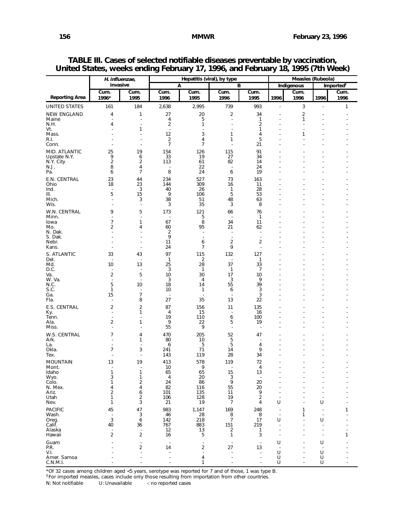|                         |                                                     | H. influenzae,                   |                                  |                                  | Hepatitis (viral), by type       | Measles (Rubeola)              |                          |                                            |                                |                       |
|-------------------------|-----------------------------------------------------|----------------------------------|----------------------------------|----------------------------------|----------------------------------|--------------------------------|--------------------------|--------------------------------------------|--------------------------------|-----------------------|
|                         |                                                     | invasive                         |                                  | A                                |                                  | в                              |                          | <b>Indigenous</b>                          |                                | Imported <sup>†</sup> |
| <b>Reporting Area</b>   | Cum.<br>1996*                                       | Cum.<br>1995                     | Cum.<br>1996                     | Cum.<br>1995                     | Cum.<br>1996                     | Cum.<br>1995                   | 1996                     | Cum.<br>1996                               | 1996                           | Cum.<br>1996          |
| <b>UNITED STATES</b>    | 161                                                 | 184                              | 2,638                            | 2,995                            | 739                              | 993                            |                          | 3                                          | $\overline{a}$                 | 1                     |
| <b>NEW ENGLAND</b>      | 4                                                   | 1                                | 27                               | 20                               | $\overline{\mathbf{c}}$          | 34                             |                          | $\overline{\mathbf{c}}$                    |                                |                       |
| Maine                   | ٠                                                   | $\overline{\phantom{a}}$         | 4                                | 5                                | $\overline{a}$                   | 1                              |                          | 1                                          |                                |                       |
| N.H.<br>Vt.             | 4                                                   | ٠<br>1                           | 2<br>$\overline{\phantom{a}}$    | 1                                |                                  | 2<br>1                         |                          | $\overline{\phantom{a}}$<br>$\overline{a}$ |                                |                       |
| Mass.                   |                                                     | ٠                                | 12                               | 3                                | 1                                | 4                              |                          | 1                                          |                                |                       |
| R.I.<br>Conn.           |                                                     | ٠<br>$\overline{a}$              | $\overline{2}$<br>$\overline{7}$ | 4<br>$\overline{7}$              | 1                                | 5<br>21                        |                          |                                            |                                |                       |
| MID. ATLANTIC           | 25                                                  | 19                               | 154                              | 126                              | 115                              | 91                             |                          |                                            |                                |                       |
| Upstate N.Y.            | 9                                                   | 6                                | 33                               | 19                               | 27                               | 34                             |                          |                                            |                                |                       |
| N.Y. City<br>N.J.       | $\overline{2}$<br>8                                 | 2<br>4                           | 113                              | 61<br>22                         | 82                               | 14<br>24                       |                          |                                            |                                |                       |
| Pa.                     | 6                                                   | $\overline{7}$                   | 8                                | 24                               | 6                                | 19                             |                          |                                            |                                |                       |
| E.N. CENTRAL            | 23                                                  | 44                               | 234                              | 527                              | 73                               | 163                            |                          |                                            |                                |                       |
| Ohio                    | 18                                                  | 23                               | 144                              | 309                              | 16                               | 11                             |                          |                                            |                                |                       |
| Ind.<br>III.            | $\overline{\phantom{a}}$<br>5                       | 3<br>15                          | 40<br>9                          | 26<br>106                        | 1<br>5                           | 28<br>53                       |                          |                                            |                                |                       |
| Mich.                   | L,                                                  | 3                                | 38                               | 51                               | 48                               | 63                             |                          |                                            |                                |                       |
| Wis.                    |                                                     | ÷,                               | 3                                | 35                               | 3                                | 8                              |                          |                                            |                                |                       |
| W.N. CENTRAL<br>Minn.   | 9<br>Ĭ.                                             | 5<br>$\overline{a}$              | 173                              | 121<br>5                         | 66                               | 76<br>$\mathbf{1}$             |                          |                                            |                                |                       |
| lowa                    | 7                                                   | 1                                | 67                               | 8                                | 34                               | 11                             |                          |                                            |                                |                       |
| Mo.<br>N. Dak.          | 2<br>$\overline{a}$                                 | 4<br>$\overline{a}$              | 60<br>2                          | 95<br>÷                          | 21                               | 62<br>$\overline{\phantom{a}}$ |                          |                                            |                                |                       |
| S. Dak.                 | J.                                                  | $\overline{a}$                   | 9                                | $\overline{a}$                   |                                  | ÷,                             |                          |                                            |                                |                       |
| Nebr.                   | ÷<br>$\overline{a}$                                 | $\overline{a}$                   | 11                               | 6                                | 2<br>9                           | 2<br>÷.                        |                          |                                            |                                |                       |
| Kans.                   |                                                     | $\overline{a}$                   | 24                               | 7                                |                                  |                                |                          |                                            |                                |                       |
| S. ATLANTIC<br>Del.     | 33<br>L,                                            | 43                               | 97<br>$\mathbf{1}$               | 115<br>2                         | 132                              | 127<br>1                       |                          |                                            |                                |                       |
| Md.                     | 10                                                  | 13                               | 25                               | 28                               | 37                               | 33                             |                          |                                            |                                |                       |
| D.C.<br>Va.             | $\overline{\phantom{a}}$<br>$\overline{\mathbf{c}}$ | $\overline{a}$<br>5              | 3<br>10                          | $\mathbf{1}$<br>30               | $\mathbf{1}$<br>17               | $\overline{7}$<br>10           |                          |                                            |                                |                       |
| W. Va.                  | $\overline{\phantom{a}}$                            | ÷,                               | 3                                | $\overline{4}$                   | 3                                | 9                              |                          |                                            |                                |                       |
| N.C.<br>S.C.            | 5<br>1                                              | 10<br>$\overline{a}$             | 18<br>10                         | 14<br>1                          | 55<br>6                          | 39<br>3                        |                          |                                            |                                |                       |
| Ga.                     | 15                                                  | $\overline{7}$                   |                                  |                                  |                                  | 3                              |                          |                                            |                                |                       |
| Fla.                    | $\overline{a}$                                      | 8                                | 27                               | 35                               | 13                               | 22                             |                          |                                            |                                |                       |
| E.S. CENTRAL            | 2<br>$\overline{\phantom{a}}$                       | 2<br>1                           | 87<br>4                          | 156<br>15                        | 11<br>$\overline{\phantom{a}}$   | 135<br>16                      |                          |                                            |                                |                       |
| Ky.<br>Tenn.            | $\overline{a}$                                      | Ĭ.                               | 19                               | 110                              | 6                                | 100                            |                          |                                            |                                |                       |
| Ala.                    | 2                                                   | 1                                | 9                                | 22                               | 5                                | 19                             |                          |                                            |                                |                       |
| Miss.                   | $\overline{a}$                                      | ÷                                | 55                               | 9                                | $\overline{a}$                   | $\overline{\phantom{a}}$       |                          |                                            |                                |                       |
| W.S. CENTRAL<br>Ark.    | 7                                                   | 4<br>1                           | 470<br>80                        | 205<br>10                        | 52<br>5                          | 47<br>Ĭ.                       |                          |                                            |                                |                       |
| La.                     |                                                     |                                  | 6                                | 5                                | 5                                | 4                              |                          |                                            |                                |                       |
| Okla.<br>Tex.           | $\overline{7}$                                      | 3<br>Ĭ.                          | 241<br>143                       | 71<br>119                        | 14<br>28                         | 9<br>34                        |                          |                                            |                                |                       |
| <b>MOUNTAIN</b>         | 13                                                  | 19                               | 413                              | 578                              | 119                              | 72                             |                          |                                            |                                |                       |
| Mont.                   | $\overline{\phantom{a}}$                            | $\overline{\phantom{a}}$         | 10                               | 9                                |                                  | 4                              |                          |                                            | ٠                              |                       |
| Idaho<br>Wyo.           | 1<br>3                                              | 1<br>1                           | 65<br>4                          | 65<br>20                         | 15<br>3                          | 13                             |                          |                                            |                                |                       |
| Colo.                   | 1                                                   | $\overline{\mathbf{c}}$          | 24                               | 86                               | 9                                | 20                             |                          |                                            |                                |                       |
| N. Mex.                 | 4                                                   | 4                                | 82                               | 116                              | 55                               | 20<br>9                        |                          |                                            | ÷.                             |                       |
| Ariz.<br>Utah           | 2<br>1                                              | 6<br>2                           | 101<br>106                       | 135<br>128                       | 11<br>19                         | $\overline{2}$                 | $\blacksquare$           |                                            | ÷<br>÷,                        |                       |
| Nev.                    | $\mathbf{1}$                                        | 3                                | 21                               | 19                               | $\overline{7}$                   | 4                              | U                        |                                            | U                              |                       |
| <b>PACIFIC</b>          | 45                                                  | 47                               | 983                              | 1,147                            | 169                              | 248                            |                          | $\mathbf{1}$                               |                                | 1                     |
| Wash.<br>Oreg.          | $\overline{\phantom{a}}$<br>$\sqrt{3}$              | 3<br>6                           | 46<br>142                        | 28<br>218                        | 8<br>$\overline{7}$              | 8<br>17                        | U                        | 1                                          | $\overline{\phantom{a}}$<br>U  |                       |
| Calif.                  | 40                                                  | 36                               | 767                              | 883                              | 151                              | 219                            |                          |                                            |                                |                       |
| Alaska<br>Hawaii        | $\overline{\phantom{a}}$<br>$\overline{\mathbf{c}}$ | $\overline{a}$<br>$\overline{2}$ | 12<br>16                         | 13<br>5                          | $\boldsymbol{2}$<br>$\mathbf{1}$ | 1<br>3                         |                          |                                            | $\overline{\phantom{a}}$<br>Ĭ. | 1                     |
|                         |                                                     |                                  |                                  |                                  |                                  |                                | U                        |                                            | U                              |                       |
| Guam<br>P.R.            |                                                     | $\blacksquare$<br>$\overline{c}$ | $\overline{\phantom{a}}$<br>14   | $\blacksquare$<br>$\overline{2}$ | $\overline{\phantom{a}}$<br>27   | $\overline{\phantom{a}}$<br>13 | $\overline{\phantom{a}}$ |                                            | ÷,                             |                       |
| V.I.                    |                                                     | ÷,                               |                                  | $\sim$                           |                                  | $\overline{a}$                 | U                        |                                            | U                              |                       |
| Amer. Samoa<br>C.N.M.I. |                                                     |                                  |                                  | 4<br>1                           |                                  | $\overline{a}$<br>٠            | U<br>$\sf U$             |                                            | U<br>U                         |                       |

**TABLE III. Cases of selected notifiable diseases preventable by vaccination, United States, weeks ending February 17, 1996, and February 18, 1995 (7th Week)**

\*Of 32 cases among children aged <5 years, serotype was reported for 7 and of those, 1 was type B.

<sup>†</sup>For imported measles, cases include only those resulting from importation from other countries.<br>N: Not notifiable U: Unavailable : no reported cases

-: no reported cases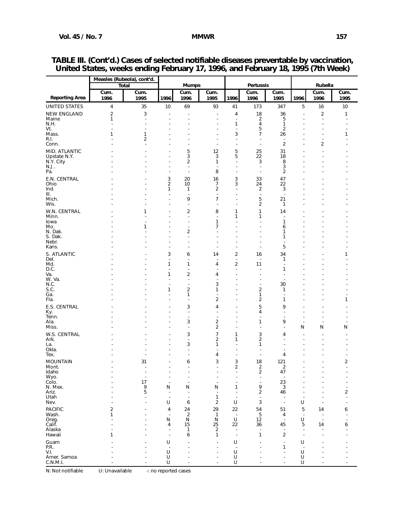|                               | Measles (Rubeola), cont'd. |                                             |                               |                                  |                                            |                               |                                |                                                      |                          |                          |                                  |
|-------------------------------|----------------------------|---------------------------------------------|-------------------------------|----------------------------------|--------------------------------------------|-------------------------------|--------------------------------|------------------------------------------------------|--------------------------|--------------------------|----------------------------------|
|                               |                            | <b>Total</b>                                |                               | <b>Mumps</b>                     |                                            |                               | Pertussis                      |                                                      |                          | Rubella                  |                                  |
| <b>Reporting Area</b>         | Cum.<br>1996               | Cum.<br>1995                                | 1996                          | Cum.<br>1996                     | Cum.<br>1995                               | 1996                          | Cum.<br>1996                   | Cum.<br>1995                                         | 1996                     | Cum.<br>1996             | Cum.<br>1995                     |
| <b>UNITED STATES</b>          | 4                          | 35                                          | 10                            | 69                               | 93                                         | 41                            | 173                            | 347                                                  | 5                        | 16                       | 10                               |
| <b>NEW ENGLAND</b>            | $\overline{2}$             | 3                                           | ÷.                            |                                  | $\overline{\phantom{a}}$                   | 4                             | 18                             | 36                                                   | $\overline{a}$           | 2                        | 1                                |
| Maine                         | 1                          | $\overline{\phantom{a}}$                    | ÷                             | ÷.                               | ä,                                         | $\overline{\phantom{a}}$      | 2                              | 5                                                    |                          | $\overline{\phantom{a}}$ |                                  |
| N.H.<br>Vt.                   | ٠                          | ä,<br>÷.                                    |                               |                                  | ٠                                          | 1<br>$\overline{a}$           | 4<br>5                         | 1<br>2                                               |                          | ٠<br>J.                  |                                  |
| Mass.                         | 1                          | 1                                           |                               |                                  | ÷                                          | 3                             | $\overline{7}$                 | 26                                                   |                          | J.                       | 1                                |
| R.I.                          |                            | 2                                           |                               | ÷.                               | ÷.                                         | $\overline{\phantom{a}}$      | Ĭ.                             | $\overline{a}$                                       |                          | $\overline{\phantom{a}}$ |                                  |
| Conn.                         |                            | ÷.                                          |                               | ÷                                | ä,                                         | ä,                            | Ĭ.                             | 2                                                    |                          | 2                        |                                  |
| MID. ATLANTIC<br>Upstate N.Y. |                            |                                             |                               | 5<br>3                           | 12<br>3                                    | 5<br>5                        | 25<br>22                       | 31<br>18                                             |                          |                          |                                  |
| N.Y. City                     |                            |                                             | Ĭ.                            | $\overline{\mathbf{c}}$          | $\mathbf{1}$                               | ÷,                            | 3                              | 8                                                    |                          |                          |                                  |
| N.J.                          |                            |                                             |                               | L,                               |                                            | ä,                            | J.                             | 3                                                    |                          |                          |                                  |
| Pa.                           |                            |                                             | ł,                            | $\overline{a}$                   | 8                                          | $\overline{a}$                | $\overline{a}$                 | $\overline{2}$                                       |                          |                          |                                  |
| E.N. CENTRAL<br>Ohio          |                            |                                             | 3<br>$\overline{\mathbf{c}}$  | 20<br>10                         | 16<br>7                                    | 3<br>3                        | 33<br>24                       | 47<br>22                                             |                          |                          |                                  |
| Ind.                          |                            |                                             | 1                             | 1                                | $\overline{2}$                             | $\overline{\phantom{a}}$      | $\overline{\mathbf{c}}$        | 3                                                    |                          |                          |                                  |
| Ш.                            |                            |                                             | Ĭ.                            | $\overline{a}$                   | $\sim$                                     | ٠                             | $\overline{\phantom{a}}$       | $\sim$                                               |                          |                          |                                  |
| Mich.<br>Wis.                 |                            |                                             | Ĭ.<br>Ĭ.                      | 9<br>$\blacksquare$              | $\overline{7}$<br>$\overline{\phantom{a}}$ | $\overline{\phantom{a}}$<br>٠ | 5<br>$\overline{c}$            | 21<br>1                                              |                          |                          |                                  |
| W.N. CENTRAL                  |                            | 1                                           |                               | $\overline{\mathbf{c}}$          | 8                                          | $\mathbf{1}$                  | 1                              | 14                                                   |                          |                          |                                  |
| Minn.                         |                            |                                             |                               | $\overline{a}$                   | $\overline{\phantom{a}}$                   | 1                             | 1                              |                                                      |                          |                          |                                  |
| lowa                          |                            |                                             |                               |                                  | $\mathbf{1}$                               | $\overline{a}$                | $\overline{a}$                 | $\mathbf{1}$                                         |                          |                          |                                  |
| Mo.<br>N. Dak.                |                            | $\mathbf{1}$                                |                               | $\overline{\mathbf{c}}$          | $\overline{7}$                             |                               |                                | 6<br>1                                               |                          |                          |                                  |
| S. Dak.                       |                            |                                             |                               | $\overline{a}$                   |                                            |                               |                                | 1                                                    |                          |                          |                                  |
| Nebr.<br>Kans.                |                            |                                             |                               | $\overline{a}$                   |                                            | $\overline{a}$                | Ĭ.                             | $\overline{a}$<br>5                                  |                          |                          |                                  |
| S. ATLANTIC                   |                            |                                             | 3                             |                                  | 14                                         | 2                             | 16                             | 34                                                   |                          |                          | 1                                |
| Del.                          |                            |                                             | Ĭ.                            | 6<br>Ĭ.                          | ٠                                          | ÷,                            | Ĭ.                             | 1                                                    |                          |                          |                                  |
| Md.                           |                            |                                             | 1                             | 1                                | 4                                          | 2                             | 11                             | ٠                                                    |                          |                          |                                  |
| D.C.<br>Va.                   |                            |                                             | ٠<br>1                        | ٠<br>$\overline{\mathbf{c}}$     | ÷<br>4                                     | $\overline{\phantom{a}}$<br>٠ | ÷<br>٠                         | 1<br>÷                                               |                          |                          |                                  |
| W. Va.                        |                            |                                             | Ĭ.                            | $\overline{a}$                   | $\overline{\phantom{a}}$                   | ٠                             | Ĭ.                             | Ĭ.                                                   |                          |                          |                                  |
| N.C.                          |                            |                                             | J.<br>1                       | $\blacksquare$                   | 3                                          | ٠                             | $\overline{\phantom{a}}$       | 30                                                   |                          |                          |                                  |
| S.C.<br>Ga.                   |                            |                                             | Ĭ.                            | $\overline{\mathbf{c}}$<br>1     | $\mathbf{1}$<br>$\overline{\phantom{a}}$   | ٠<br>٠                        | $\overline{\mathbf{c}}$<br>1   | 1<br>$\overline{\phantom{a}}$                        |                          |                          |                                  |
| Fla.                          |                            |                                             | Ĭ.                            | $\overline{a}$                   | $\overline{2}$                             | $\overline{\phantom{a}}$      | $\overline{\mathbf{c}}$        | 1                                                    |                          |                          | 1                                |
| E.S. CENTRAL                  |                            |                                             |                               | 3                                | 4                                          | ٠                             | 5                              | 9                                                    |                          |                          |                                  |
| Ky.<br>Tenn.                  |                            |                                             |                               | $\overline{a}$<br>$\overline{a}$ |                                            |                               | 4<br>Ĭ.                        | $\overline{a}$<br>$\overline{a}$                     |                          |                          |                                  |
| Ala.                          |                            |                                             | ÷                             | 3                                | $\overline{2}$                             | $\overline{a}$                | 1                              | 9                                                    | $\overline{a}$           | J.                       | ٠                                |
| Miss.                         |                            |                                             |                               | $\overline{a}$                   | $\overline{2}$                             | $\overline{a}$                | Ĭ.                             | ÷,                                                   | N                        | Ν                        | Ν                                |
| W.S. CENTRAL                  |                            |                                             |                               | 3                                | $\overline{7}$                             | $\mathbf{1}$                  | 3                              | 4                                                    |                          |                          |                                  |
| Ark.<br>La.                   |                            |                                             |                               | Ĭ.<br>3                          | $\overline{2}$<br>$\mathbf{1}$             | 1<br>$\overline{\phantom{a}}$ | $\overline{\mathbf{c}}$<br>1   | ٠                                                    |                          |                          |                                  |
| Okla.                         |                            |                                             | Ĭ.                            | $\blacksquare$                   |                                            | ٠                             | Ĭ.                             | $\blacksquare$                                       |                          |                          |                                  |
| Tex.                          |                            |                                             |                               | Ĭ.                               | 4                                          | ÷,                            | Ĭ.                             | 4                                                    |                          |                          |                                  |
| <b>MOUNTAIN</b><br>Mont.      |                            | 31<br>Ĭ.                                    | ٠                             | 6<br>$\overline{a}$              | 3<br>$\overline{\phantom{a}}$              | 3<br>2                        | 18<br>2                        | 121<br>2                                             |                          | J.                       | 2<br>÷                           |
| Idaho                         |                            | Ĭ.                                          | Ĭ.                            | $\overline{\phantom{a}}$         | $\overline{a}$                             | $\overline{\phantom{a}}$      | 2                              | 47                                                   | $\overline{a}$           | $\overline{\phantom{a}}$ | ٠                                |
| Wyo.<br>Colo.                 |                            |                                             |                               |                                  |                                            |                               |                                | $\overline{\phantom{a}}$                             |                          |                          |                                  |
| N. Mex.                       |                            | $\begin{array}{c} 17 \\ 9 \\ 5 \end{array}$ | $\overline{\phantom{a}}$<br>N | $\overline{\phantom{a}}$<br>N    | $\overline{\phantom{a}}$<br>N              | $\overline{\phantom{a}}$<br>1 | $\overline{\phantom{a}}$<br>9  | $\begin{smallmatrix} 23 \\ 3 \end{smallmatrix}$      |                          | $\overline{a}$           | $\overline{a}$<br>$\overline{a}$ |
| Ariz.                         |                            |                                             | $\overline{a}$                | $\overline{\phantom{a}}$         | $\overline{\phantom{a}}$                   | $\overline{\phantom{a}}$      | 2                              | 46                                                   |                          |                          | $\overline{\mathbf{c}}$          |
| Utah                          |                            | ÷.                                          | U                             | $\overline{\phantom{a}}$         | $\mathbf{1}$                               |                               | $\overline{\phantom{a}}$<br>3  | $\overline{\phantom{a}}$<br>$\overline{\phantom{a}}$ |                          | ÷.                       |                                  |
| Nev.                          |                            |                                             |                               | 6                                | $\overline{2}$                             | U                             |                                |                                                      | U                        |                          |                                  |
| <b>PACIFIC</b><br>Wash.       | 2<br>1                     |                                             | 4<br>J.                       | 24<br>$\overline{2}$             | 29<br>$\mathbf{1}$                         | 22<br>$\overline{a}$          | 54<br>$\overline{5}$           | 51<br>4                                              | 5                        | 14<br>J.                 | 6                                |
| Oreg.                         |                            |                                             | N                             | N                                | ${\sf N}$                                  | U                             | 12                             | $\overline{\phantom{a}}$                             | U                        |                          |                                  |
| Calif.                        |                            |                                             | 4<br>$\overline{a}$           | 15                               | 25                                         | 22<br>$\sim$                  | 36<br>$\overline{\phantom{a}}$ | 45                                                   | 5                        | 14                       | 6                                |
| Alaska<br>Hawaii              | 1                          |                                             | $\ddot{\phantom{a}}$          | 1<br>6                           | $\sqrt{2}$<br>$\mathbf{1}$                 | $\overline{\phantom{a}}$      | $\mathbf{1}$                   | $\overline{\phantom{a}}$<br>$\overline{\mathbf{c}}$  |                          | L,                       |                                  |
| Guam                          |                            |                                             | U                             | J.                               | $\overline{a}$                             | U                             | J.                             | $\overline{\phantom{a}}$                             | U                        | J.                       |                                  |
| P.R.                          |                            |                                             | $\overline{\phantom{a}}$      |                                  | ÷                                          | $\sim$                        |                                | 1                                                    | $\overline{\phantom{a}}$ | J.                       |                                  |
| V.I.<br>Amer. Samoa           |                            | L,                                          | U                             | ٠<br>ä,                          | ä,                                         | U                             |                                | $\overline{\phantom{a}}$<br>Ĭ.                       | U<br>$\sf U$             |                          |                                  |
| C.N.M.I.                      |                            | ä,                                          | UU                            | $\overline{\phantom{a}}$         |                                            | U<br>U                        |                                | ÷.                                                   | U                        | $\overline{a}$           | ä,                               |

## **TABLE III. (Cont'd.) Cases of selected notifiable diseases preventable by vaccination, United States, weeks ending February 17, 1996, and February 18, 1995 (7th Week)**

N: Not notifiable U: Unavailable -: no reported cases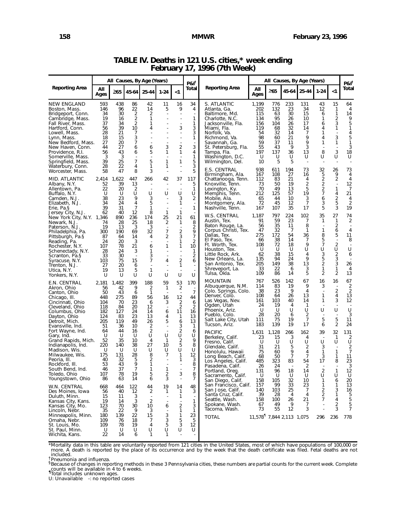|                                                                                                                                                                                                                                                                                                                                                                                          |                                                                                                                                      | All Causes, By Age (Years)                                                                                                       |                                                                                                                                   |                                                                                                               | $PAI^{\dagger}$                                                                                               | All Causes, By Age (Years)                                                                               |                                                                                                                                              |                                                                                                                                                                                                                                                                                                                                                                                                                            |                                                                                                                                         |                                                                                                                                 |                                                                                                              | P&I <sup>†</sup>                                                                                                                         |                                                                                             |                                                                                                            |                                                                                                                                                                   |
|------------------------------------------------------------------------------------------------------------------------------------------------------------------------------------------------------------------------------------------------------------------------------------------------------------------------------------------------------------------------------------------|--------------------------------------------------------------------------------------------------------------------------------------|----------------------------------------------------------------------------------------------------------------------------------|-----------------------------------------------------------------------------------------------------------------------------------|---------------------------------------------------------------------------------------------------------------|---------------------------------------------------------------------------------------------------------------|----------------------------------------------------------------------------------------------------------|----------------------------------------------------------------------------------------------------------------------------------------------|----------------------------------------------------------------------------------------------------------------------------------------------------------------------------------------------------------------------------------------------------------------------------------------------------------------------------------------------------------------------------------------------------------------------------|-----------------------------------------------------------------------------------------------------------------------------------------|---------------------------------------------------------------------------------------------------------------------------------|--------------------------------------------------------------------------------------------------------------|------------------------------------------------------------------------------------------------------------------------------------------|---------------------------------------------------------------------------------------------|------------------------------------------------------------------------------------------------------------|-------------------------------------------------------------------------------------------------------------------------------------------------------------------|
| <b>Reporting Area</b>                                                                                                                                                                                                                                                                                                                                                                    | All<br>Ages                                                                                                                          | >65                                                                                                                              | 45-64                                                                                                                             | 25-44                                                                                                         | $1 - 24$                                                                                                      | <1                                                                                                       | Total                                                                                                                                        | Reporting Area                                                                                                                                                                                                                                                                                                                                                                                                             | All<br>Ages                                                                                                                             | $\geq 65$                                                                                                                       | 45-64                                                                                                        | 25-44                                                                                                                                    | $1 - 24$                                                                                    | $<$ 1                                                                                                      | Total                                                                                                                                                             |
| <b>NEW ENGLAND</b><br>Boston, Mass.<br>Bridgeport, Conn.<br>Cambridge, Mass.<br>Fall River, Mass.<br>Hartford, Conn.<br>Lowell, Mass.<br>Lynn, Mass.<br>New Bedford, Mass.<br>New Haven, Conn.<br>Providence, R.I.<br>Somerville, Mass.<br>Springfield, Mass.<br>Waterbury, Conn.                                                                                                        | 593<br>146<br>34<br>19<br>37<br>56<br>28<br>18<br>27<br>44<br>56<br>3<br>39<br>28<br>58                                              | 438<br>96<br>30<br>16<br>34<br>39<br>21<br>15<br>20<br>27<br>43<br>3<br>25<br>22<br>47                                           | 86<br>22<br>2<br>$\overline{\mathbf{c}}$<br>2<br>10<br>7<br>3<br>7<br>6<br>6<br>7<br>4<br>8                                       | 42<br>14<br>2<br>1<br>1<br>4<br>÷,<br>6<br>5<br>$\overline{\phantom{a}}$<br>5<br>1<br>3                       | 11<br>5<br>$\overline{a}$<br>3<br>1<br>1<br>1                                                                 | 16<br>9<br>$\overline{\phantom{a}}$<br>3<br>2<br>1<br>1                                                  | 34<br>4<br>$\overline{a}$<br>1<br>1<br>3<br>3<br>1<br>$\overline{\phantom{a}}$<br>3<br>4<br>1<br>5<br>3<br>5                                 | S. ATLANTIC<br>Atlanta, Ga.<br>Baltimore, Md.<br>Charlotte, N.C.<br>Jacksonville, Fla.<br>Miami, Fla.<br>Norfolk, Va.<br>Richmond, Va.<br>Savannah, Ga.<br>St. Petersburg, Fla.<br>Tampa, Fla.<br>Washington, D.C.<br>Wilmington, Del.<br>E.S. CENTRAL                                                                                                                                                                     | 1,199<br>202<br>115<br>134<br>156<br>119<br>54<br>98<br>59<br>55<br>197<br>-U<br>10<br>938                                              | 776<br>132<br>63<br>95<br>104<br>68<br>32<br>60<br>37<br>43<br>137<br>U<br>5<br>611                                             | 233<br>23<br>30<br>26<br>26<br>32<br>14<br>21<br>11<br>9<br>36<br>U<br>5<br>194                              | 131<br>34<br>15<br>10<br>17<br>14<br>7<br>9<br>9<br>3<br>13<br>U<br>$\overline{\phantom{a}}$<br>73                                       | 43<br>12<br>6<br>1<br>6<br>4<br>1<br>4<br>1<br>8<br>U<br>32                                 | 15<br>1<br>1<br>2<br>3<br>1<br>3<br>1<br>3<br>U<br>26                                                      | 64<br>4<br>14<br>9<br>5<br>1<br>4<br>5<br>1<br>3<br>18<br>U<br>73                                                                                                 |
| Worcester, Mass.<br>MID. ATLANTIC<br>Albany, N.Y.<br>Allentown, Pa.<br>Buffalo, N.Y.<br>Camden, N.J.<br>Elizabeth, N.J.<br>Erie, Pa.§                                                                                                                                                                                                                                                    | 2,414<br>52<br>22<br>U<br>38<br>34<br>39                                                                                             | 1,622<br>39<br>20<br>U<br>23<br>24<br>31                                                                                         | 447<br>13<br>2<br>U<br>9<br>4<br>7                                                                                                | 266<br>U<br>3<br>5<br>1                                                                                       | 42<br>U                                                                                                       | 37<br>U<br>3<br>1                                                                                        | 117<br>5<br>1<br>U<br>2<br>$\overline{\phantom{a}}$<br>1                                                                                     | Birmingham, Ala.<br>Chattanooga, Tenn.<br>Knoxville, Tenn.<br>Lexington, Ky.<br>Memphis, Tenn.<br>Mobile, Ala.<br>Montgomery, Ala.<br>Nashville, Tenn.                                                                                                                                                                                                                                                                     | 167<br>112<br>73<br>70<br>212<br>65<br>72<br>167                                                                                        | 108<br>83<br>50<br>49<br>125<br>44<br>45<br>107                                                                                 | 27<br>21<br>19<br>13<br>57<br>10<br>12<br>35                                                                 | 16<br>4<br>2<br>5<br>19<br>$\frac{3}{7}$<br>17                                                                                           | 5<br>$\overline{2}$<br>2<br>2<br>$\overline{7}$<br>6<br>3<br>5                              | 9<br>2<br>1<br>4<br>$\frac{2}{5}$<br>3                                                                     | 4<br>$\overline{4}$<br>12<br>7<br>21<br>4<br>$\overline{2}$<br>19                                                                                                 |
| Jersey City, N.J.<br>New York City, N.Y. 1,346<br>Newark, N.J.<br>Paterson, N.J.<br>Philadelphia, Pa.<br>Pittsburgh, Pa.§<br>Reading, Pa.<br>Rochester, N.Y.<br>Schenectady, N.Y.<br>Scranton, Pa.§<br>Syracuse, N.Y.<br>Trenton, N.J.<br>Utica, N.Y.<br>Yonkers, N.Y.                                                                                                                   | 62<br>74<br>19<br>300<br>87<br>24<br>107<br>28<br>33<br>103<br>27<br>19<br>U                                                         | 40<br>890<br>28<br>13<br>190<br>64<br>20<br>78<br>24<br>30<br>75<br>20<br>13<br>U                                                | 12<br>236<br>25<br>3<br>69<br>14<br>3<br>21<br>3<br>15<br>6<br>5<br>U                                                             | 8<br>174<br>18<br>3<br>32<br>4<br>6<br>1<br>3<br>7<br>1<br>U                                                  | 1<br>25<br>$\overline{2}$<br>$\overline{\phantom{a}}$<br>$\overline{7}$<br>2<br>1<br>4<br>U                   | 1<br>21<br>$\mathbf 1$<br>2<br>3<br>1<br>1<br>2<br>1<br>U                                                | 61<br>8<br>$\overline{2}$<br>9<br>$\overline{7}$<br>$\overline{2}$<br>10<br>1<br>2<br>6<br>U                                                 | W.S. CENTRAL<br>Austin, Tex.<br>Baton Rouge, La.<br>Corpus Christi, Tex.<br>Dallas, Tex.<br>El Paso, Tex.<br>Ft. Worth, Tex.<br>Houston, Tex.<br>Little Rock, Ark.<br>New Orleans, La.<br>San Antonio, Tex.<br>Shreveport, La.<br>Tulsa, Okla.                                                                                                                                                                             | 1,187<br>91<br>56<br>47<br>275<br>66<br>108<br>-U<br>62<br>135<br>205<br>33<br>109                                                      | 797<br>59<br>35<br>32<br>172<br>38<br>72<br>U<br>38<br>94<br>149<br>22<br>86                                                    | 224<br>23<br>11<br>-7<br>54<br>14<br>18<br>U<br>15<br>24<br>38<br>6<br>14                                    | 102<br>7<br>8<br>1<br>36<br>7<br>9<br>U<br>4<br>9<br>13<br>3<br>5                                                                        | 35<br>1<br>1<br>8<br>5<br>$\overline{7}$<br>U<br>3<br>5<br>$\overline{2}$<br>1<br>2         | 27<br>1<br>2<br>6<br>5<br>$\overline{2}$<br>U<br>2<br>3<br>3<br>1<br>2                                     | 74<br>2<br>$\overline{4}$<br>11<br>8<br>U<br>6<br>26<br>4<br>13                                                                                                   |
| E.N. CENTRAL<br>Akron, Ohio<br>Canton, Ohio<br>Chicago, III.<br>Cincinnati, Ohio<br>Cleveland, Ohio<br>Columbus, Ohio<br>Dayton, Ohio<br>Detroit, Mich.<br>Evansville, Ind.<br>Fort Wayne, Ind.<br>Gary, Ind.<br>Grand Rapids, Mich.<br>Indianapolis, Ind.<br>Madison, Wis.<br>Milwaukee, Wis.<br>Peoria, III.<br>Rockford, III.<br>South Bend, Ind.<br>Toledo, Ohio<br>Youngstown, Ohio | 2,181<br>56<br>50<br>448<br>104<br>118<br>182<br>124<br>205<br>51<br>64<br>U<br>52<br>220<br>U<br>175<br>40<br>53<br>46<br>107<br>86 | 1,482<br>42<br>43<br>275<br>70<br>84<br>127<br>83<br>119<br>36<br>44<br>U<br>35<br>140<br>U<br>131<br>32<br>43<br>37<br>78<br>63 | 399<br>9<br>6<br>89<br>23<br>20<br>24<br>23<br>49<br>10<br>16<br>U<br>10<br>38<br>U<br>28<br>5<br>9<br>$\overline{7}$<br>19<br>14 | 188<br>2<br>1<br>56<br>6<br>12<br>14<br>13<br>26<br>2<br>2<br>U<br>4<br>27<br>U<br>8<br>2<br>1<br>1<br>5<br>6 | 59<br>$\mathbf{1}$<br>16<br>3<br>6<br>4<br>5<br>U<br>$\mathbf{1}$<br>10<br>U<br>7<br>1<br>$\overline{2}$<br>3 | 53<br>2<br>12<br>2<br>$\overline{2}$<br>11<br>1<br>6<br>3<br>$\frac{2}{U}$<br>2<br>5<br>U<br>1<br>1<br>3 | 170<br>$\overline{7}$<br>44<br>6<br>2<br>16<br>13<br>13<br>$\mathbf{1}$<br>6<br>U<br>9<br>8<br>U<br>12<br>3<br>8<br>$\overline{7}$<br>8<br>7 | <b>MOUNTAIN</b><br>Albuquerque, N.M.<br>Colo. Springs, Colo.<br>Denver, Colo.<br>Las Vegas, Nev.<br>Ogden, Utah<br>Phoenix, Ariz.<br>Pueblo, Colo.<br>Salt Lake City, Utah<br>Tucson, Ariz.<br><b>PACIFIC</b><br>Berkeley, Calif.<br>Fresno, Calif.<br>Glendale, Calif.<br>Honolulu, Hawaii<br>Long Beach, Calif.<br>Los Angeles, Calif.<br>Pasadena, Calif.<br>Portland, Oreg.<br>Sacramento, Calif.<br>San Diego, Calif. | 767<br>114<br>-38<br>108<br>161<br>24<br>-U<br>28<br>111<br>183<br>1,631<br>23<br>U<br>31<br>75<br>68<br>485<br>26<br>131<br>. U<br>158 | 526<br>83<br>23<br>64<br>103<br>19<br>U<br>20<br>75<br>139<br>1,128<br>15<br>U<br>21<br>60<br>50<br>323<br>24<br>96<br>U<br>105 | 142<br>19<br>9<br>26<br>40<br>4<br>U<br>6<br>19<br>19<br>266<br>3<br>U<br>5<br>9<br>7<br>83<br>18<br>U<br>32 | 67<br>9<br>4<br>13<br>14<br>1<br>U<br>2<br>$\overline{7}$<br>17<br>162<br>4<br>U<br>2<br>4<br>$\overline{7}$<br>54<br>2<br>14<br>U<br>10 | 16<br>3<br>÷,<br>1<br>1<br>U<br>÷,<br>5<br>6<br>39<br>U<br>3<br>1<br>3<br>17<br>2<br>U<br>1 | 16<br>2<br>4<br>3<br>U<br>÷,<br>5<br>2<br>32<br>$\mathbf{1}$<br>U<br>$\mathbf{1}$<br>1<br>8<br>1<br>U<br>6 | 67<br>2<br>$\overline{2}$<br>13<br>12<br>$\overline{\phantom{a}}$<br>U<br>3<br>11<br>24<br>131<br>2<br>U<br>2<br>$\overline{7}$<br>11<br>23<br>3<br>12<br>U<br>20 |
| W.N. CENTRAL<br>Des Moines, Iowa<br>Duluth, Minn.<br>Kansas City, Kans.<br>Kansas City, Mo.<br>Lincoln, Nebr.<br>Minneapolis, Minn.<br>Omaha, Nebr.<br>St. Louis, Mo.<br>St. Paul, Minn.<br>Wichita, Kans.                                                                                                                                                                               | 668<br>56<br>15<br>19<br>123<br>35<br>180<br>109<br>109<br>U<br>22                                                                   | 464<br>40<br>11<br>14<br>70<br>22<br>139<br>76<br>78<br>U<br>14                                                                  | 122<br>12<br>3<br>3<br>30<br>9<br>22<br>18<br>19<br>U<br>6                                                                        | 44<br>2<br>÷,<br>$\overline{2}$<br>10<br>3<br>15<br>7<br>4<br>U<br>1                                          | 19<br>1<br>$\overline{a}$<br>6<br>$\overline{\phantom{a}}$<br>3<br>3<br>5<br>U<br>1                           | 14<br>1<br>1<br>$\overline{\phantom{a}}$<br>$\overline{2}$<br>1<br>1<br>5<br>3<br>U                      | 48<br>3<br>1<br>3<br>$\mathbf{1}$<br>23<br>5<br>12<br>U                                                                                      | San Francisco, Calif.<br>San Jose, Calif.<br>Santa Cruz, Calif.<br>Seattle, Wash.<br>Spokane, Wash.<br>Tacoma, Wash.<br><b>TOTAL</b>                                                                                                                                                                                                                                                                                       | 157<br>140<br>39<br>158<br>67<br>73<br>11,578 7,844 2,113 1,075                                                                         | 99<br>103<br>28<br>100<br>49<br>55                                                                                              | 33<br>25<br>$\overline{4}$<br>26<br>9<br>12                                                                  | 23<br>7<br>4<br>21<br>7<br>3                                                                                                             | 1<br>2<br>$\frac{2}{7}$<br>296                                                              | $\mathbf{1}$<br>3<br>$\mathbf{1}$<br>4<br>2<br>3<br>236                                                    | 13<br>16<br>5<br>5<br>5<br>$\overline{7}$<br>778                                                                                                                  |

## **TABLE IV. Deaths in 121 U.S. cities,\* week ending February 17, 1996 (7th Week)**

\*Mortality data in this table are voluntarily reported from 121 cities in the United States, most of which have populations of 100,000 or<br>more. A death is reported by the place of its occurrence and by the week that the de

† Pneumonia and influenza.<br>§ Because of changes in reporting methods in these 3 Pennsylvania cities, these numbers are partial counts for the current week. Complete<br>§ Because of changes in reporting methods in these 3 Penn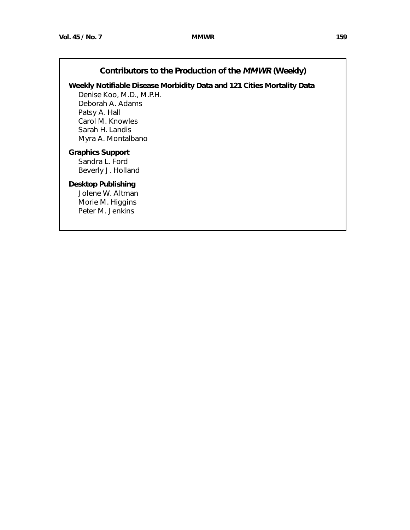# **Contributors to the Production of the MMWR (Weekly)**

**Weekly Notifiable Disease Morbidity Data and 121 Cities Mortality Data**

Denise Koo, M.D., M.P.H. Deborah A. Adams Patsy A. Hall Carol M. Knowles Sarah H. Landis Myra A. Montalbano

# **Graphics Support**

Sandra L. Ford Beverly J. Holland

# **Desktop Publishing**

Jolene W. Altman Morie M. Higgins Peter M. Jenkins